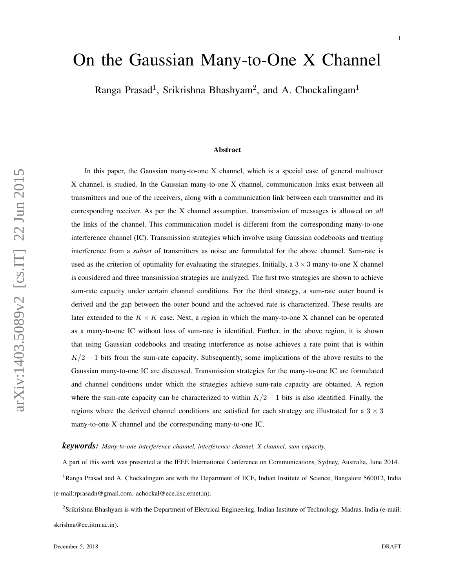# On the Gaussian Many-to-One X Channel

Ranga Prasad<sup>1</sup>, Srikrishna Bhashyam<sup>2</sup>, and A. Chockalingam<sup>1</sup>

#### Abstract

In this paper, the Gaussian many-to-one X channel, which is a special case of general multiuser X channel, is studied. In the Gaussian many-to-one X channel, communication links exist between all transmitters and one of the receivers, along with a communication link between each transmitter and its corresponding receiver. As per the X channel assumption, transmission of messages is allowed on *all* the links of the channel. This communication model is different from the corresponding many-to-one interference channel (IC). Transmission strategies which involve using Gaussian codebooks and treating interference from a *subset* of transmitters as noise are formulated for the above channel. Sum-rate is used as the criterion of optimality for evaluating the strategies. Initially, a  $3 \times 3$  many-to-one X channel is considered and three transmission strategies are analyzed. The first two strategies are shown to achieve sum-rate capacity under certain channel conditions. For the third strategy, a sum-rate outer bound is derived and the gap between the outer bound and the achieved rate is characterized. These results are later extended to the  $K \times K$  case. Next, a region in which the many-to-one X channel can be operated as a many-to-one IC without loss of sum-rate is identified. Further, in the above region, it is shown that using Gaussian codebooks and treating interference as noise achieves a rate point that is within  $K/2 - 1$  bits from the sum-rate capacity. Subsequently, some implications of the above results to the Gaussian many-to-one IC are discussed. Transmission strategies for the many-to-one IC are formulated and channel conditions under which the strategies achieve sum-rate capacity are obtained. A region where the sum-rate capacity can be characterized to within  $K/2 - 1$  bits is also identified. Finally, the regions where the derived channel conditions are satisfied for each strategy are illustrated for a  $3 \times 3$ many-to-one X channel and the corresponding many-to-one IC.

#### *keywords: Many-to-one interference channel, interference channel, X channel, sum capacity.*

A part of this work was presented at the IEEE International Conference on Communications, Sydney, Australia, June 2014.

<sup>1</sup>Ranga Prasad and A. Chockalingam are with the Department of ECE, Indian Institute of Science, Bangalore 560012, India (e-mail:rprasadn@gmail.com, achockal@ece.iisc.ernet.in).

<sup>2</sup> Srikrishna Bhashyam is with the Department of Electrical Engineering, Indian Institute of Technology, Madras, India (e-mail: skrishna@ee.iitm.ac.in).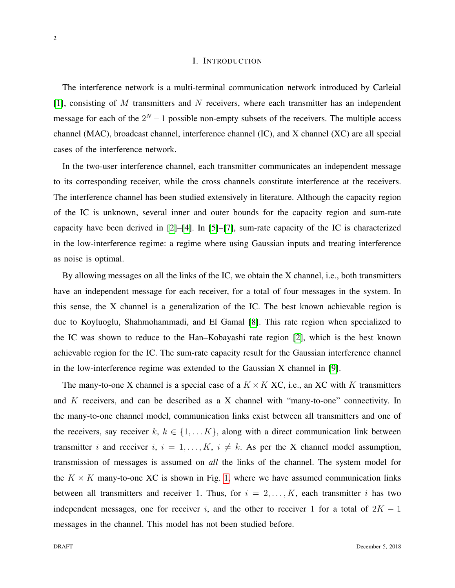#### I. INTRODUCTION

The interference network is a multi-terminal communication network introduced by Carleial  $[1]$ , consisting of M transmitters and N receivers, where each transmitter has an independent message for each of the  $2^N - 1$  possible non-empty subsets of the receivers. The multiple access channel (MAC), broadcast channel, interference channel (IC), and X channel (XC) are all special cases of the interference network.

In the two-user interference channel, each transmitter communicates an independent message to its corresponding receiver, while the cross channels constitute interference at the receivers. The interference channel has been studied extensively in literature. Although the capacity region of the IC is unknown, several inner and outer bounds for the capacity region and sum-rate capacity have been derived in [\[2\]](#page-37-1)–[\[4\]](#page-37-2). In [\[5\]](#page-37-3)–[\[7\]](#page-38-0), sum-rate capacity of the IC is characterized in the low-interference regime: a regime where using Gaussian inputs and treating interference as noise is optimal.

By allowing messages on all the links of the IC, we obtain the X channel, i.e., both transmitters have an independent message for each receiver, for a total of four messages in the system. In this sense, the X channel is a generalization of the IC. The best known achievable region is due to Koyluoglu, Shahmohammadi, and El Gamal [\[8\]](#page-38-1). This rate region when specialized to the IC was shown to reduce to the Han–Kobayashi rate region [\[2\]](#page-37-1), which is the best known achievable region for the IC. The sum-rate capacity result for the Gaussian interference channel in the low-interference regime was extended to the Gaussian X channel in [\[9\]](#page-38-2).

The many-to-one X channel is a special case of a  $K \times K$  XC, i.e., an XC with K transmitters and  $K$  receivers, and can be described as a  $X$  channel with "many-to-one" connectivity. In the many-to-one channel model, communication links exist between all transmitters and one of the receivers, say receiver  $k, k \in \{1, \ldots K\}$ , along with a direct communication link between transmitter i and receiver i,  $i = 1, ..., K$ ,  $i \neq k$ . As per the X channel model assumption, transmission of messages is assumed on *all* the links of the channel. The system model for the  $K \times K$  many-to-one XC is shown in Fig. [1,](#page-2-0) where we have assumed communication links between all transmitters and receiver 1. Thus, for  $i = 2, \ldots, K$ , each transmitter i has two independent messages, one for receiver i, and the other to receiver 1 for a total of  $2K - 1$ messages in the channel. This model has not been studied before.

2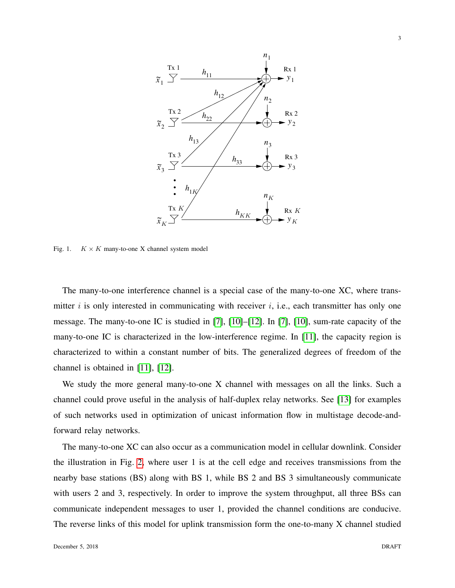

<span id="page-2-0"></span>Fig. 1.  $K \times K$  many-to-one X channel system model

The many-to-one interference channel is a special case of the many-to-one XC, where transmitter i is only interested in communicating with receiver i, i.e., each transmitter has only one message. The many-to-one IC is studied in [\[7\]](#page-38-0), [\[10\]](#page-38-3)–[\[12\]](#page-38-4). In [\[7\]](#page-38-0), [\[10\]](#page-38-3), sum-rate capacity of the many-to-one IC is characterized in the low-interference regime. In [\[11\]](#page-38-5), the capacity region is characterized to within a constant number of bits. The generalized degrees of freedom of the channel is obtained in [\[11\]](#page-38-5), [\[12\]](#page-38-4).

We study the more general many-to-one X channel with messages on all the links. Such a channel could prove useful in the analysis of half-duplex relay networks. See [\[13\]](#page-38-6) for examples of such networks used in optimization of unicast information flow in multistage decode-andforward relay networks.

The many-to-one XC can also occur as a communication model in cellular downlink. Consider the illustration in Fig. [2,](#page-3-0) where user 1 is at the cell edge and receives transmissions from the nearby base stations (BS) along with BS 1, while BS 2 and BS 3 simultaneously communicate with users 2 and 3, respectively. In order to improve the system throughput, all three BSs can communicate independent messages to user 1, provided the channel conditions are conducive. The reverse links of this model for uplink transmission form the one-to-many X channel studied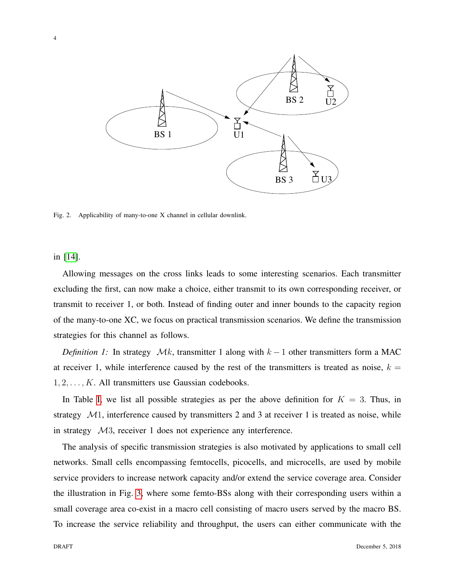

<span id="page-3-0"></span>Fig. 2. Applicability of many-to-one X channel in cellular downlink.

in [\[14\]](#page-38-7).

Allowing messages on the cross links leads to some interesting scenarios. Each transmitter excluding the first, can now make a choice, either transmit to its own corresponding receiver, or transmit to receiver 1, or both. Instead of finding outer and inner bounds to the capacity region of the many-to-one XC, we focus on practical transmission scenarios. We define the transmission strategies for this channel as follows.

*Definition 1:* In strategy  $\mathcal{M}k$ , transmitter 1 along with  $k - 1$  other transmitters form a MAC at receiver 1, while interference caused by the rest of the transmitters is treated as noise,  $k =$  $1, 2, \ldots, K$ . All transmitters use Gaussian codebooks.

In Table [I,](#page-4-0) we list all possible strategies as per the above definition for  $K = 3$ . Thus, in strategy  $M1$ , interference caused by transmitters 2 and 3 at receiver 1 is treated as noise, while in strategy M3, receiver 1 does not experience any interference.

The analysis of specific transmission strategies is also motivated by applications to small cell networks. Small cells encompassing femtocells, picocells, and microcells, are used by mobile service providers to increase network capacity and/or extend the service coverage area. Consider the illustration in Fig. [3,](#page-5-0) where some femto-BSs along with their corresponding users within a small coverage area co-exist in a macro cell consisting of macro users served by the macro BS. To increase the service reliability and throughput, the users can either communicate with the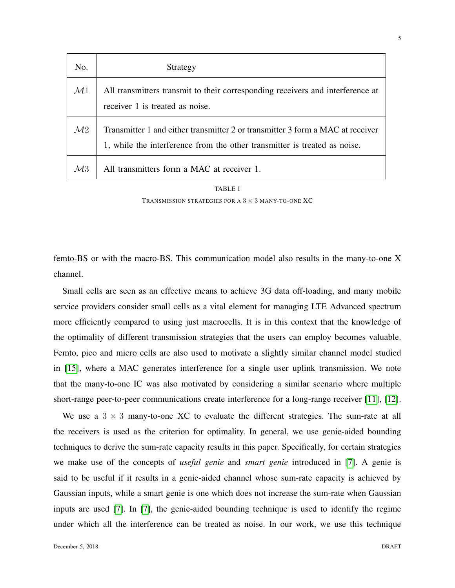| No.            | Strategy                                                                                                                                                    |
|----------------|-------------------------------------------------------------------------------------------------------------------------------------------------------------|
| $\mathcal{M}1$ | All transmitters transmit to their corresponding receivers and interference at<br>receiver 1 is treated as noise.                                           |
| $\mathcal{M}2$ | Transmitter 1 and either transmitter 2 or transmitter 3 form a MAC at receiver<br>1, while the interference from the other transmitter is treated as noise. |
| $\mathcal{M}3$ | All transmitters form a MAC at receiver 1.                                                                                                                  |

| TABLE I                                                   |
|-----------------------------------------------------------|
| TRANSMISSION STRATEGIES FOR A $3 \times 3$ MANY-TO-ONE XC |

<span id="page-4-0"></span>femto-BS or with the macro-BS. This communication model also results in the many-to-one X channel.

Small cells are seen as an effective means to achieve 3G data off-loading, and many mobile service providers consider small cells as a vital element for managing LTE Advanced spectrum more efficiently compared to using just macrocells. It is in this context that the knowledge of the optimality of different transmission strategies that the users can employ becomes valuable. Femto, pico and micro cells are also used to motivate a slightly similar channel model studied in [\[15\]](#page-38-8), where a MAC generates interference for a single user uplink transmission. We note that the many-to-one IC was also motivated by considering a similar scenario where multiple short-range peer-to-peer communications create interference for a long-range receiver [\[11\]](#page-38-5), [\[12\]](#page-38-4).

We use a  $3 \times 3$  many-to-one XC to evaluate the different strategies. The sum-rate at all the receivers is used as the criterion for optimality. In general, we use genie-aided bounding techniques to derive the sum-rate capacity results in this paper. Specifically, for certain strategies we make use of the concepts of *useful genie* and *smart genie* introduced in [\[7\]](#page-38-0). A genie is said to be useful if it results in a genie-aided channel whose sum-rate capacity is achieved by Gaussian inputs, while a smart genie is one which does not increase the sum-rate when Gaussian inputs are used [\[7\]](#page-38-0). In [\[7\]](#page-38-0), the genie-aided bounding technique is used to identify the regime under which all the interference can be treated as noise. In our work, we use this technique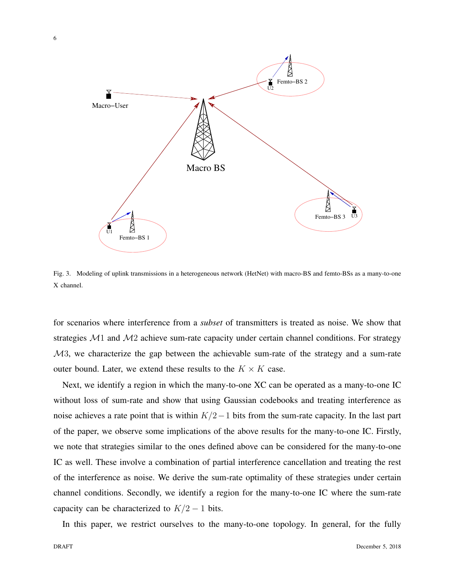

<span id="page-5-0"></span>Fig. 3. Modeling of uplink transmissions in a heterogeneous network (HetNet) with macro-BS and femto-BSs as a many-to-one X channel.

for scenarios where interference from a *subset* of transmitters is treated as noise. We show that strategies  $M1$  and  $M2$  achieve sum-rate capacity under certain channel conditions. For strategy M3, we characterize the gap between the achievable sum-rate of the strategy and a sum-rate outer bound. Later, we extend these results to the  $K \times K$  case.

Next, we identify a region in which the many-to-one XC can be operated as a many-to-one IC without loss of sum-rate and show that using Gaussian codebooks and treating interference as noise achieves a rate point that is within  $K/2-1$  bits from the sum-rate capacity. In the last part of the paper, we observe some implications of the above results for the many-to-one IC. Firstly, we note that strategies similar to the ones defined above can be considered for the many-to-one IC as well. These involve a combination of partial interference cancellation and treating the rest of the interference as noise. We derive the sum-rate optimality of these strategies under certain channel conditions. Secondly, we identify a region for the many-to-one IC where the sum-rate capacity can be characterized to  $K/2 - 1$  bits.

In this paper, we restrict ourselves to the many-to-one topology. In general, for the fully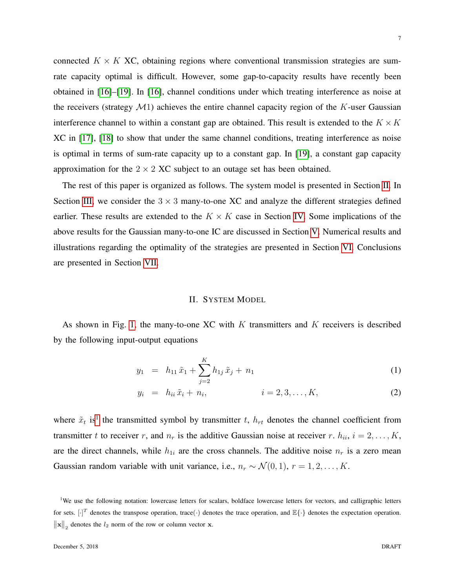connected  $K \times K$  XC, obtaining regions where conventional transmission strategies are sumrate capacity optimal is difficult. However, some gap-to-capacity results have recently been obtained in [\[16\]](#page-38-9)–[\[19\]](#page-38-10). In [\[16\]](#page-38-9), channel conditions under which treating interference as noise at the receivers (strategy  $\mathcal{M}$ 1) achieves the entire channel capacity region of the K-user Gaussian interference channel to within a constant gap are obtained. This result is extended to the  $K \times K$ XC in [\[17\]](#page-38-11), [\[18\]](#page-38-12) to show that under the same channel conditions, treating interference as noise is optimal in terms of sum-rate capacity up to a constant gap. In [\[19\]](#page-38-10), a constant gap capacity approximation for the  $2 \times 2$  XC subject to an outage set has been obtained.

The rest of this paper is organized as follows. The system model is presented in Section [II.](#page-6-0) In Section [III,](#page-10-0) we consider the  $3 \times 3$  many-to-one XC and analyze the different strategies defined earlier. These results are extended to the  $K \times K$  case in Section [IV.](#page-21-0) Some implications of the above results for the Gaussian many-to-one IC are discussed in Section [V.](#page-27-0) Numerical results and illustrations regarding the optimality of the strategies are presented in Section [VI.](#page-32-0) Conclusions are presented in Section [VII.](#page-35-0)

#### II. SYSTEM MODEL

<span id="page-6-0"></span>As shown in Fig. [1,](#page-2-0) the many-to-one XC with  $K$  transmitters and  $K$  receivers is described by the following input-output equations

$$
y_1 = h_{11}\tilde{x}_1 + \sum_{j=2}^{K} h_{1j}\tilde{x}_j + n_1 \tag{1}
$$

$$
y_i = h_{ii} \tilde{x}_i + n_i,
$$
  $i = 2, 3, ..., K,$  (2)

where  $\tilde{x}_t$  is<sup>[1](#page-6-1)</sup> the transmitted symbol by transmitter t,  $h_{rt}$  denotes the channel coefficient from transmitter t to receiver r, and  $n_r$  is the additive Gaussian noise at receiver r.  $h_{ii}$ ,  $i = 2, \ldots, K$ , are the direct channels, while  $h_{1i}$  are the cross channels. The additive noise  $n_r$  is a zero mean Gaussian random variable with unit variance, i.e.,  $n_r \sim \mathcal{N}(0, 1)$ ,  $r = 1, 2, ..., K$ .

<span id="page-6-1"></span><sup>&</sup>lt;sup>1</sup>We use the following notation: lowercase letters for scalars, boldface lowercase letters for vectors, and calligraphic letters for sets.  $[\cdot]^T$  denotes the transpose operation, trace( $\cdot$ ) denotes the trace operation, and  $\mathbb{E}\{\cdot\}$  denotes the expectation operation.  $\left\|\mathbf{x}\right\|_2$  denotes the  $l_2$  norm of the row or column vector **x**.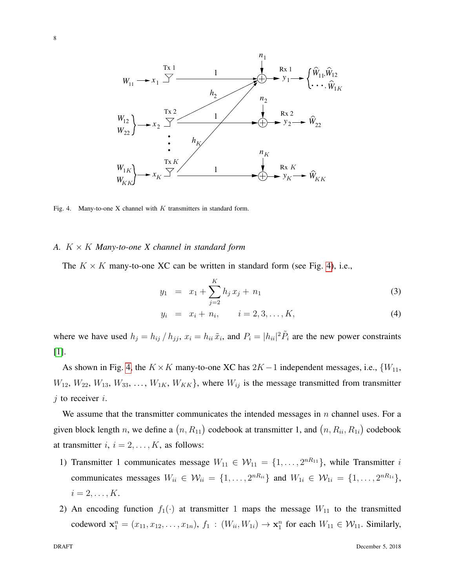

<span id="page-7-0"></span>Fig. 4. Many-to-one X channel with  $K$  transmitters in standard form.

#### *A.* K × K *Many-to-one X channel in standard form*

The  $K \times K$  many-to-one XC can be written in standard form (see Fig. [4\)](#page-7-0), i.e.,

$$
y_1 = x_1 + \sum_{j=2}^{K} h_j x_j + n_1 \tag{3}
$$

$$
y_i = x_i + n_i, \qquad i = 2, 3, \dots, K,
$$
 (4)

where we have used  $h_j = h_{ij} / h_{jj}$ ,  $x_i = h_{ii} \tilde{x}_i$ , and  $P_i = |h_{ii}|^2 \tilde{P}_i$  are the new power constraints [\[1\]](#page-37-0).

As shown in Fig. [4,](#page-7-0) the  $K \times K$  many-to-one XC has  $2K - 1$  independent messages, i.e.,  $\{W_{11},$  $W_{12}$ ,  $W_{22}$ ,  $W_{13}$ ,  $W_{33}$ , ...,  $W_{1K}$ ,  $W_{KK}$ , where  $W_{ij}$  is the message transmitted from transmitter  $j$  to receiver  $i$ .

We assume that the transmitter communicates the intended messages in  $n$  channel uses. For a given block length n, we define a  $(n, R_{11})$  codebook at transmitter 1, and  $(n, R_{ii}, R_{1i})$  codebook at transmitter  $i, i = 2, \ldots, K$ , as follows:

- 1) Transmitter 1 communicates message  $W_{11} \in W_{11} = \{1, ..., 2^{nR_{11}}\}$ , while Transmitter i communicates messages  $W_{ii} \in \mathcal{W}_{ii} = \{1, \ldots, 2^{nR_{ii}}\}$  and  $W_{1i} \in \mathcal{W}_{1i} = \{1, \ldots, 2^{nR_{1i}}\},\$  $i=2,\ldots,K$ .
- 2) An encoding function  $f_1(\cdot)$  at transmitter 1 maps the message  $W_{11}$  to the transmitted codeword  $x_1^n = (x_{11}, x_{12}, \dots, x_{1n}), f_1 : (W_{ii}, W_{1i}) \to x_1^n$  for each  $W_{11} \in W_{11}$ . Similarly,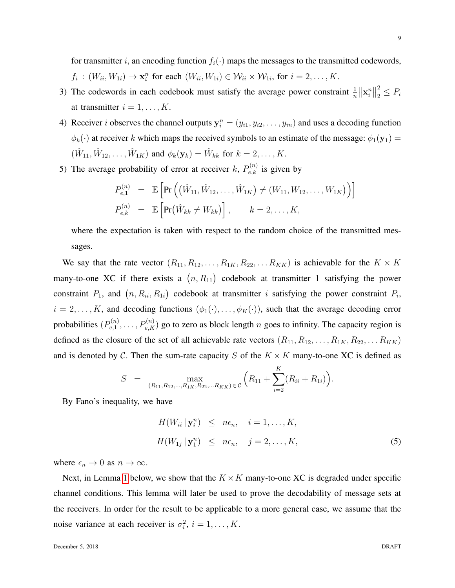for transmitter i, an encoding function  $f_i(\cdot)$  maps the messages to the transmitted codewords,  $f_i: (W_{ii}, W_{1i}) \to \mathbf{x}_i^n$  for each  $(W_{ii}, W_{1i}) \in \mathcal{W}_{ii} \times \mathcal{W}_{1i}$ , for  $i = 2, \dots, K$ .

- 3) The codewords in each codebook must satisfy the average power constraint  $\frac{1}{n} \|\mathbf{x}_i^n\|$ 2  $\frac{2}{2} \leq P_i$ at transmitter  $i = 1, \ldots, K$ .
- 4) Receiver *i* observes the channel outputs  $y_i^n = (y_{i1}, y_{i2}, \dots, y_{in})$  and uses a decoding function  $\phi_k(\cdot)$  at receiver k which maps the received symbols to an estimate of the message:  $\phi_1(\mathbf{y}_1)$  =  $(\hat{W}_{11}, \hat{W}_{12}, \dots, \hat{W}_{1K})$  and  $\phi_k(\mathbf{y}_k) = \hat{W}_{kk}$  for  $k = 2, \dots, K$ .
- 5) The average probability of error at receiver k,  $P_{e,k}^{(n)}$  is given by

<span id="page-8-1"></span>
$$
P_{e,1}^{(n)} = \mathbb{E}\left[\Pr\left((\hat{W}_{11}, \hat{W}_{12}, \dots, \hat{W}_{1K}) \neq (W_{11}, W_{12}, \dots, W_{1K})\right)\right]
$$
  

$$
P_{e,k}^{(n)} = \mathbb{E}\left[\Pr(\hat{W}_{kk} \neq W_{kk})\right], \qquad k = 2, \dots, K,
$$

where the expectation is taken with respect to the random choice of the transmitted messages.

We say that the rate vector  $(R_{11}, R_{12}, \ldots, R_{1K}, R_{22}, \ldots R_{KK})$  is achievable for the  $K \times K$ many-to-one XC if there exists a  $(n, R_{11})$  codebook at transmitter 1 satisfying the power constraint  $P_1$ , and  $(n, R_{ii}, R_{1i})$  codebook at transmitter i satisfying the power constraint  $P_i$ ,  $i = 2, \ldots, K$ , and decoding functions  $(\phi_1(\cdot), \ldots, \phi_K(\cdot))$ , such that the average decoding error probabilities  $(P_{e,1}^{(n)})$  $P_{e,1}^{(n)}, \ldots, P_{e,K}^{(n)}$ ) go to zero as block length n goes to infinity. The capacity region is defined as the closure of the set of all achievable rate vectors  $(R_{11}, R_{12}, \ldots, R_{1K}, R_{22}, \ldots R_{KK})$ and is denoted by C. Then the sum-rate capacity S of the  $K \times K$  many-to-one XC is defined as

$$
S = \max_{(R_{11}, R_{12}, \ldots, R_{1K}, R_{22}, \ldots, R_{KK}) \in \mathcal{C}} \left( R_{11} + \sum_{i=2}^{K} (R_{ii} + R_{1i}) \right).
$$

By Fano's inequality, we have

$$
H(W_{ii} | \mathbf{y}_i^n) \leq n\epsilon_n, \quad i = 1, ..., K,
$$
  

$$
H(W_{1j} | \mathbf{y}_1^n) \leq n\epsilon_n, \quad j = 2, ..., K,
$$
 (5)

where  $\epsilon_n \to 0$  as  $n \to \infty$ .

<span id="page-8-0"></span>Next, in Lemma [1](#page-8-0) below, we show that the  $K \times K$  many-to-one XC is degraded under specific channel conditions. This lemma will later be used to prove the decodability of message sets at the receivers. In order for the result to be applicable to a more general case, we assume that the noise variance at each receiver is  $\sigma_i^2$ ,  $i = 1, ..., K$ .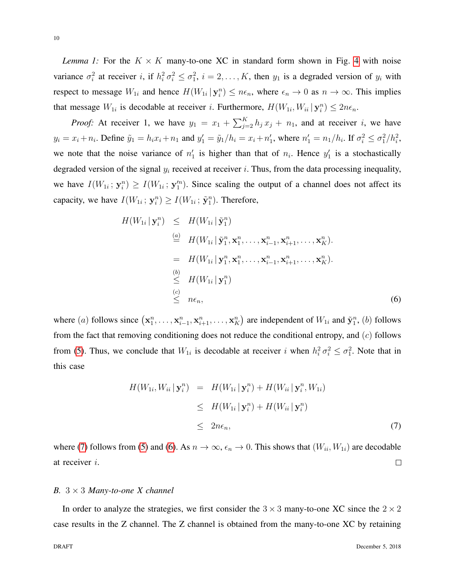*Lemma 1:* For the  $K \times K$  many-to-one XC in standard form shown in Fig. [4](#page-7-0) with noise variance  $\sigma_i^2$  at receiver i, if  $h_i^2 \sigma_i^2 \leq \sigma_1^2$ ,  $i = 2, ..., K$ , then  $y_1$  is a degraded version of  $y_i$  with respect to message  $W_{1i}$  and hence  $H(W_{1i} | \mathbf{y}_i^n) \leq n\epsilon_n$ , where  $\epsilon_n \to 0$  as  $n \to \infty$ . This implies that message  $W_{1i}$  is decodable at receiver i. Furthermore,  $H(W_{1i}, W_{ii} | \mathbf{y}_i^n) \leq 2n\epsilon_n$ .

*Proof:* At receiver 1, we have  $y_1 = x_1 + \sum_{j=2}^{K} h_j x_j + n_1$ , and at receiver i, we have  $y_i = x_i + n_i$ . Define  $\tilde{y}_1 = h_i x_i + n_1$  and  $y'_1 = \tilde{y}_1/h_i = x_i + n'_1$ , where  $n'_1 = n_1/h_i$ . If  $\sigma_i^2 \le \sigma_1^2/h_i^2$ , we note that the noise variance of  $n'_1$  is higher than that of  $n_i$ . Hence  $y'_1$  is a stochastically degraded version of the signal  $y_i$  received at receiver i. Thus, from the data processing inequality, we have  $I(W_{1i}; y_i^n) \ge I(W_{1i}; y_1^n)$ . Since scaling the output of a channel does not affect its capacity, we have  $I(W_{1i}; y_i^n) \ge I(W_{1i}; \tilde{y}_1^n)$ . Therefore,

<span id="page-9-1"></span>
$$
H(W_{1i} | \mathbf{y}_i^n) \leq H(W_{1i} | \tilde{\mathbf{y}}_1^n)
$$
  
\n
$$
\stackrel{(a)}{=} H(W_{1i} | \tilde{\mathbf{y}}_1^n, \mathbf{x}_1^n, \dots, \mathbf{x}_{i-1}^n, \mathbf{x}_{i+1}^n, \dots, \mathbf{x}_K^n).
$$
  
\n
$$
= H(W_{1i} | \mathbf{y}_1^n, \mathbf{x}_1^n, \dots, \mathbf{x}_{i-1}^n, \mathbf{x}_{i+1}^n, \dots, \mathbf{x}_K^n).
$$
  
\n
$$
\stackrel{(b)}{\leq} H(W_{1i} | \mathbf{y}_1^n)
$$
  
\n
$$
\stackrel{(c)}{\leq} n\epsilon_n,
$$
  
\n(6)

where (a) follows since  $(\mathbf{x}_1^n, \dots, \mathbf{x}_{i-1}^n, \mathbf{x}_{i+1}^n, \dots, \mathbf{x}_K^n)$  are independent of  $W_{1i}$  and  $\tilde{\mathbf{y}}_1^n$ , (b) follows from the fact that removing conditioning does not reduce the conditional entropy, and  $(c)$  follows from [\(5\)](#page-8-1). Thus, we conclude that  $W_{1i}$  is decodable at receiver i when  $h_i^2 \sigma_i^2 \leq \sigma_1^2$ . Note that in this case

<span id="page-9-0"></span>
$$
H(W_{1i}, W_{ii} | \mathbf{y}_i^n) = H(W_{1i} | \mathbf{y}_i^n) + H(W_{ii} | \mathbf{y}_i^n, W_{1i})
$$
  
\n
$$
\leq H(W_{1i} | \mathbf{y}_i^n) + H(W_{ii} | \mathbf{y}_i^n)
$$
  
\n
$$
\leq 2n\epsilon_n,
$$
 (7)

where [\(7\)](#page-9-0) follows from [\(5\)](#page-8-1) and [\(6\)](#page-9-1). As  $n \to \infty$ ,  $\epsilon_n \to 0$ . This shows that  $(W_{ii}, W_{1i})$  are decodable at receiver i.  $\Box$ 

# *B.* 3 × 3 *Many-to-one X channel*

In order to analyze the strategies, we first consider the  $3 \times 3$  many-to-one XC since the  $2 \times 2$ case results in the Z channel. The Z channel is obtained from the many-to-one XC by retaining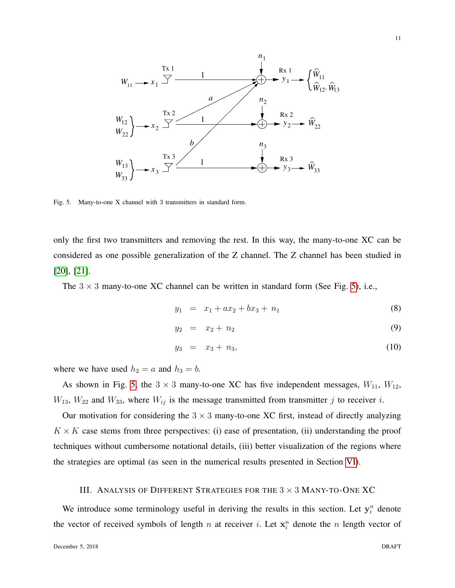

<span id="page-10-1"></span>Fig. 5. Many-to-one X channel with 3 transmitters in standard form.

only the first two transmitters and removing the rest. In this way, the many-to-one XC can be considered as one possible generalization of the Z channel. The Z channel has been studied in [\[20\]](#page-38-13), [\[21\]](#page-38-14).

The  $3 \times 3$  many-to-one XC channel can be written in standard form (See Fig. [5\)](#page-10-1), i.e.,

$$
y_1 = x_1 + ax_2 + bx_3 + n_1 \tag{8}
$$

$$
y_2 = x_2 + n_2 \tag{9}
$$

$$
y_3 = x_3 + n_3, \tag{10}
$$

where we have used  $h_2 = a$  and  $h_3 = b$ .

As shown in Fig. [5,](#page-10-1) the  $3 \times 3$  many-to-one XC has five independent messages,  $W_{11}$ ,  $W_{12}$ ,  $W_{13}$ ,  $W_{22}$  and  $W_{33}$ , where  $W_{ij}$  is the message transmitted from transmitter j to receiver i.

Our motivation for considering the  $3 \times 3$  many-to-one XC first, instead of directly analyzing  $K \times K$  case stems from three perspectives: (i) ease of presentation, (ii) understanding the proof techniques without cumbersome notational details, (iii) better visualization of the regions where the strategies are optimal (as seen in the numerical results presented in Section [VI\)](#page-32-0).

## III. ANALYSIS OF DIFFERENT STRATEGIES FOR THE  $3 \times 3$  MANY-TO-ONE XC

<span id="page-10-0"></span>We introduce some terminology useful in deriving the results in this section. Let  $y_i^n$  denote the vector of received symbols of length n at receiver i. Let  $x_i^n$  denote the n length vector of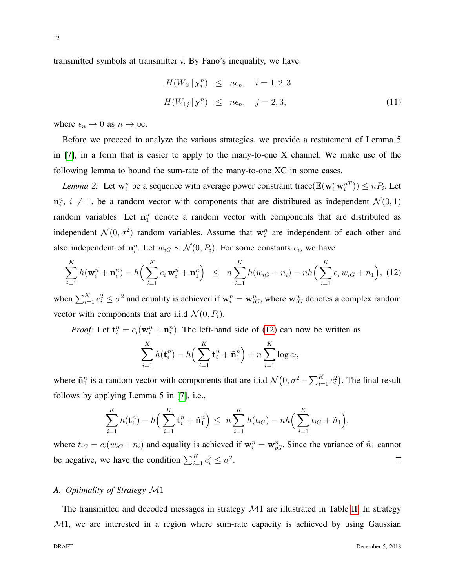transmitted symbols at transmitter  $i$ . By Fano's inequality, we have

<span id="page-11-1"></span>
$$
H(W_{ii} | \mathbf{y}_i^n) \leq n\epsilon_n, \quad i = 1, 2, 3
$$
  

$$
H(W_{1j} | \mathbf{y}_1^n) \leq n\epsilon_n, \quad j = 2, 3,
$$
 (11)

where  $\epsilon_n \to 0$  as  $n \to \infty$ .

Before we proceed to analyze the various strategies, we provide a restatement of Lemma 5 in [\[7\]](#page-38-0), in a form that is easier to apply to the many-to-one X channel. We make use of the following lemma to bound the sum-rate of the many-to-one XC in some cases.

*Lemma 2:* Let  $w_i^n$  be a sequence with average power constraint trace  $(\mathbb{E}(\mathbf{w}_i^n \mathbf{w}_i^{n}) \le nP_i$ . Let  $\mathbf{n}_i^n$ ,  $i \neq 1$ , be a random vector with components that are distributed as independent  $\mathcal{N}(0, 1)$ random variables. Let  $n_1^n$  denote a random vector with components that are distributed as independent  $\mathcal{N}(0, \sigma^2)$  random variables. Assume that  $\mathbf{w}_i^n$  are independent of each other and also independent of  $\mathbf{n}_i^n$ . Let  $w_{iG} \sim \mathcal{N}(0, P_i)$ . For some constants  $c_i$ , we have

<span id="page-11-0"></span>
$$
\sum_{i=1}^{K} h(\mathbf{w}_i^n + \mathbf{n}_i^n) - h\Big(\sum_{i=1}^{K} c_i \mathbf{w}_i^n + \mathbf{n}_1^n\Big) \le n \sum_{i=1}^{K} h(w_{iG} + n_i) - nh\Big(\sum_{i=1}^{K} c_i w_{iG} + n_1\Big), (12)
$$

when  $\sum_{i=1}^K c_i^2 \le \sigma^2$  and equality is achieved if  $\mathbf{w}_i^n = \mathbf{w}_{iG}^n$ , where  $\mathbf{w}_{iG}^n$  denotes a complex random vector with components that are i.i.d  $\mathcal{N}(0, P_i)$ .

*Proof:* Let  $\mathbf{t}_i^n = c_i(\mathbf{w}_i^n + \mathbf{n}_i^n)$ . The left-hand side of [\(12\)](#page-11-0) can now be written as

$$
\sum_{i=1}^K h(\mathbf{t}_i^n) - h\left(\sum_{i=1}^K \mathbf{t}_i^n + \tilde{\mathbf{n}}_1^n\right) + n \sum_{i=1}^K \log c_i,
$$

where  $\tilde{\mathbf{n}}_1^n$  is a random vector with components that are i.i.d  $\mathcal{N}(0, \sigma^2 - \sum_{i=1}^K c_i^2)$ . The final result follows by applying Lemma 5 in [\[7\]](#page-38-0), i.e.,

$$
\sum_{i=1}^{K} h(\mathbf{t}_{i}^{n}) - h\Big(\sum_{i=1}^{K} \mathbf{t}_{i}^{n} + \tilde{\mathbf{n}}_{1}^{n}\Big) \leq n \sum_{i=1}^{K} h(t_{iG}) - nh\Big(\sum_{i=1}^{K} t_{iG} + \tilde{n}_{1}\Big),
$$

where  $t_{iG} = c_i(w_{iG} + n_i)$  and equality is achieved if  $w_i^n = w_{iG}^n$ . Since the variance of  $\tilde{n}_1$  cannot be negative, we have the condition  $\sum_{i=1}^{K} c_i^2 \le \sigma^2$ .  $\Box$ 

# *A. Optimality of Strategy* M1

The transmitted and decoded messages in strategy  $\mathcal{M}1$  are illustrated in Table [II.](#page-12-0) In strategy  $M_1$ , we are interested in a region where sum-rate capacity is achieved by using Gaussian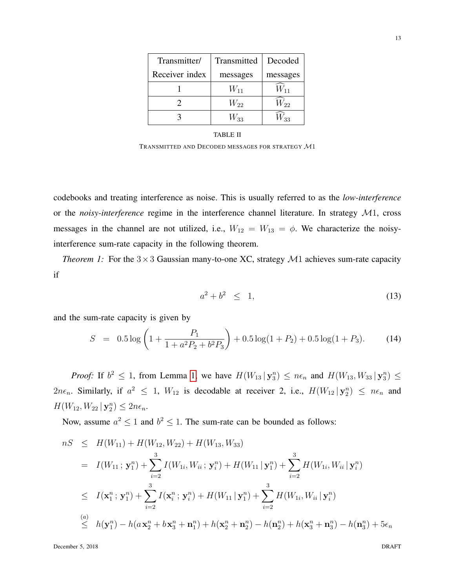| Transmitter/   | Transmitted | Decoded  |
|----------------|-------------|----------|
| Receiver index | messages    | messages |
|                | $W_{11}$    |          |
|                | $W_{22}$    | $V_{22}$ |
|                | W33         |          |

#### TABLE II

TRANSMITTED AND DECODED MESSAGES FOR STRATEGY M1

<span id="page-12-0"></span>codebooks and treating interference as noise. This is usually referred to as the *low-interference* or the *noisy-interference* regime in the interference channel literature. In strategy M1, cross messages in the channel are not utilized, i.e.,  $W_{12} = W_{13} = \phi$ . We characterize the noisyinterference sum-rate capacity in the following theorem.

*Theorem 1:* For the  $3 \times 3$  Gaussian many-to-one XC, strategy  $M1$  achieves sum-rate capacity if

$$
a^2 + b^2 \leq 1,\tag{13}
$$

and the sum-rate capacity is given by

<span id="page-12-2"></span>
$$
S = 0.5 \log \left( 1 + \frac{P_1}{1 + a^2 P_2 + b^2 P_3} \right) + 0.5 \log(1 + P_2) + 0.5 \log(1 + P_3). \tag{14}
$$

*Proof:* If  $b^2 \le 1$ , from Lemma [1,](#page-8-0) we have  $H(W_{13} | \mathbf{y}_3^n) \le n\epsilon_n$  and  $H(W_{13}, W_{33} | \mathbf{y}_3^n) \le n\epsilon_n$  $2n\epsilon_n$ . Similarly, if  $a^2 \leq 1$ ,  $W_{12}$  is decodable at receiver 2, i.e.,  $H(W_{12} | \mathbf{y}_2^n) \leq n\epsilon_n$  and  $H(W_{12}, W_{22} | \mathbf{y}_2^n) \leq 2n\epsilon_n.$ 

Now, assume  $a^2 \le 1$  and  $b^2 \le 1$ . The sum-rate can be bounded as follows:

<span id="page-12-1"></span>
$$
nS \leq H(W_{11}) + H(W_{12}, W_{22}) + H(W_{13}, W_{33})
$$
  
\n
$$
= I(W_{11}; \mathbf{y}_1^n) + \sum_{i=2}^3 I(W_{1i}, W_{ii}; \mathbf{y}_i^n) + H(W_{11} | \mathbf{y}_1^n) + \sum_{i=2}^3 H(W_{1i}, W_{ii} | \mathbf{y}_i^n)
$$
  
\n
$$
\leq I(\mathbf{x}_1^n; \mathbf{y}_1^n) + \sum_{i=2}^3 I(\mathbf{x}_i^n; \mathbf{y}_i^n) + H(W_{11} | \mathbf{y}_1^n) + \sum_{i=2}^3 H(W_{1i}, W_{ii} | \mathbf{y}_i^n)
$$
  
\n(a) 
$$
\leq h(\mathbf{y}_1^n) - h(a\mathbf{x}_2^n + b\mathbf{x}_3^n + \mathbf{n}_1^n) + h(\mathbf{x}_2^n + \mathbf{n}_2^n) - h(\mathbf{n}_2^n) + h(\mathbf{x}_3^n + \mathbf{n}_3^n) - h(\mathbf{n}_3^n) + 5\epsilon_n
$$

December 5, 2018 DRAFT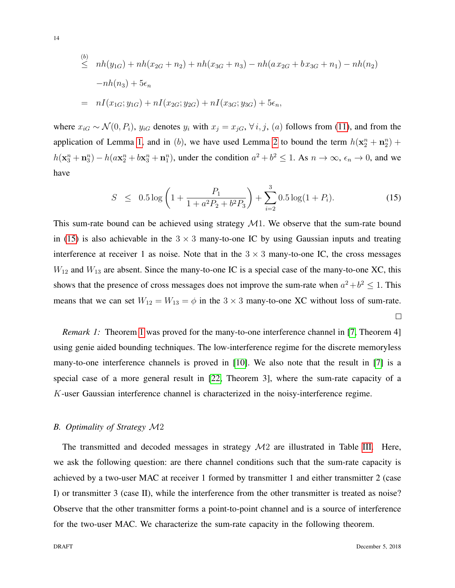$$
\leq nh(y_{1G}) + nh(x_{2G} + n_2) + nh(x_{3G} + n_3) - nh(ax_{2G} + bx_{3G} + n_1) - nh(n_2)
$$
  
-nh(n<sub>3</sub>) + 5 $\epsilon_n$   
=  $nI(x_{1G}; y_{1G}) + nI(x_{2G}; y_{2G}) + nI(x_{3G}; y_{3G}) + 5\epsilon_n,$ 

where  $x_{iG} \sim \mathcal{N}(0, P_i)$ ,  $y_{iG}$  denotes  $y_i$  with  $x_j = x_{jG}$ ,  $\forall i, j$ ,  $(a)$  follows from [\(11\)](#page-11-1), and from the application of Lemma [1,](#page-8-0) and in (b), we have used Lemma [2](#page-11-0) to bound the term  $h(\mathbf{x}_2^n + \mathbf{n}_2^n)$  +  $h(\mathbf{x}_3^n + \mathbf{n}_3^n) - h(a\mathbf{x}_2^n + b\mathbf{x}_3^n + \mathbf{n}_1^n)$ , under the condition  $a^2 + b^2 \le 1$ . As  $n \to \infty$ ,  $\epsilon_n \to 0$ , and we have

$$
S \leq 0.5 \log \left( 1 + \frac{P_1}{1 + a^2 P_2 + b^2 P_3} \right) + \sum_{i=2}^{3} 0.5 \log(1 + P_i). \tag{15}
$$

This sum-rate bound can be achieved using strategy  $\mathcal{M}$ 1. We observe that the sum-rate bound in [\(15\)](#page-12-1) is also achievable in the  $3 \times 3$  many-to-one IC by using Gaussian inputs and treating interference at receiver 1 as noise. Note that in the  $3 \times 3$  many-to-one IC, the cross messages  $W_{12}$  and  $W_{13}$  are absent. Since the many-to-one IC is a special case of the many-to-one XC, this shows that the presence of cross messages does not improve the sum-rate when  $a^2 + b^2 \le 1$ . This means that we can set  $W_{12} = W_{13} = \phi$  in the 3 × 3 many-to-one XC without loss of sum-rate.  $\Box$ 

*Remark [1](#page-12-2):* Theorem 1 was proved for the many-to-one interference channel in [\[7,](#page-38-0) Theorem 4] using genie aided bounding techniques. The low-interference regime for the discrete memoryless many-to-one interference channels is proved in [\[10\]](#page-38-3). We also note that the result in [\[7\]](#page-38-0) is a special case of a more general result in [\[22,](#page-38-15) Theorem 3], where the sum-rate capacity of a K-user Gaussian interference channel is characterized in the noisy-interference regime.

#### *B. Optimality of Strategy* M2

<span id="page-13-0"></span>The transmitted and decoded messages in strategy  $\mathcal{M}2$  are illustrated in Table [III.](#page-14-0) Here, we ask the following question: are there channel conditions such that the sum-rate capacity is achieved by a two-user MAC at receiver 1 formed by transmitter 1 and either transmitter 2 (case I) or transmitter 3 (case II), while the interference from the other transmitter is treated as noise? Observe that the other transmitter forms a point-to-point channel and is a source of interference for the two-user MAC. We characterize the sum-rate capacity in the following theorem.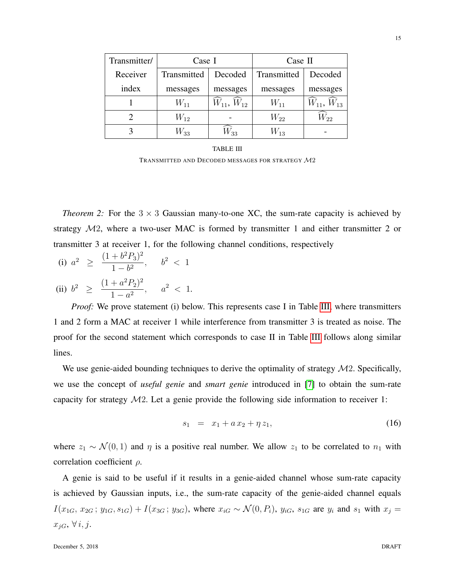| Transmitter/ | Case I      |                  | Case II     |                  |
|--------------|-------------|------------------|-------------|------------------|
| Receiver     | Transmitted | Decoded          | Transmitted | Decoded          |
| index        | messages    | messages         | messages    | messages         |
|              | $W_{11}$    | $W_{11}, W_{12}$ | $W_{11}$    | $W_{11}, W_{13}$ |
|              | $W_{12}$    |                  | $W_{22}$    | $W_{22}$         |
|              | $W_{33}$    | $W_{\rm 33}$     | $W_{13}$    |                  |

| TABLE III                                                    |
|--------------------------------------------------------------|
| TRANSMITTED AND DECODED MESSAGES FOR STRATEGY $\mathcal{M}2$ |

<span id="page-14-0"></span>*Theorem 2:* For the  $3 \times 3$  Gaussian many-to-one XC, the sum-rate capacity is achieved by strategy M2, where a two-user MAC is formed by transmitter 1 and either transmitter 2 or transmitter 3 at receiver 1, for the following channel conditions, respectively

(i) 
$$
a^2 \geq \frac{(1+b^2P_3)^2}{1-b^2}
$$
,  $b^2 < 1$ 

(ii) 
$$
b^2 \ge \frac{(1+a^2P_2)^2}{1-a^2}
$$
,  $a^2 < 1$ .

*Proof:* We prove statement (i) below. This represents case I in Table [III,](#page-14-0) where transmitters 1 and 2 form a MAC at receiver 1 while interference from transmitter 3 is treated as noise. The proof for the second statement which corresponds to case II in Table [III](#page-14-0) follows along similar lines.

We use genie-aided bounding techniques to derive the optimality of strategy  $\mathcal{M}2$ . Specifically, we use the concept of *useful genie* and *smart genie* introduced in [\[7\]](#page-38-0) to obtain the sum-rate capacity for strategy M2. Let a genie provide the following side information to receiver 1:

<span id="page-14-1"></span>
$$
s_1 = x_1 + a x_2 + \eta z_1, \tag{16}
$$

where  $z_1 \sim \mathcal{N}(0, 1)$  and  $\eta$  is a positive real number. We allow  $z_1$  to be correlated to  $n_1$  with correlation coefficient ρ.

A genie is said to be useful if it results in a genie-aided channel whose sum-rate capacity is achieved by Gaussian inputs, i.e., the sum-rate capacity of the genie-aided channel equals  $I(x_{1G}, x_{2G}; y_{1G}, s_{1G}) + I(x_{3G}; y_{3G})$ , where  $x_{iG} \sim \mathcal{N}(0, P_i)$ ,  $y_{iG}$ ,  $s_{1G}$  are  $y_i$  and  $s_1$  with  $x_j =$  $x_{jG}, \forall i, j.$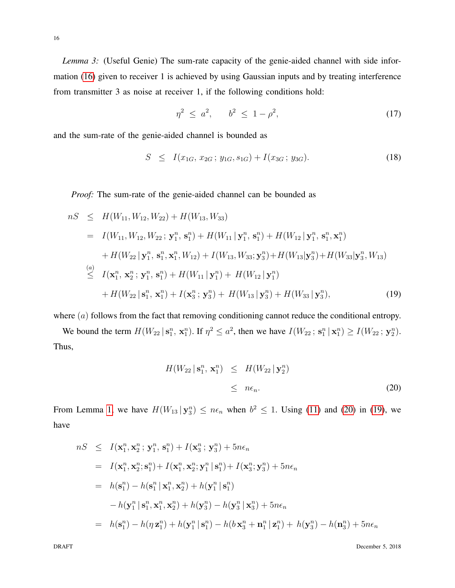*Lemma 3:* (Useful Genie) The sum-rate capacity of the genie-aided channel with side information [\(16\)](#page-14-1) given to receiver 1 is achieved by using Gaussian inputs and by treating interference from transmitter 3 as noise at receiver 1, if the following conditions hold:

<span id="page-15-2"></span>
$$
\eta^2 \le a^2, \qquad b^2 \le 1 - \rho^2,\tag{17}
$$

and the sum-rate of the genie-aided channel is bounded as

<span id="page-15-3"></span>
$$
S \leq I(x_{1G}, x_{2G}; y_{1G}, s_{1G}) + I(x_{3G}; y_{3G}). \tag{18}
$$

*Proof:* The sum-rate of the genie-aided channel can be bounded as

<span id="page-15-1"></span>
$$
nS \leq H(W_{11}, W_{12}, W_{22}) + H(W_{13}, W_{33})
$$
  
\n
$$
= I(W_{11}, W_{12}, W_{22}; \mathbf{y}_1^n, \mathbf{s}_1^n) + H(W_{11} | \mathbf{y}_1^n, \mathbf{s}_1^n) + H(W_{12} | \mathbf{y}_1^n, \mathbf{s}_1^n, \mathbf{x}_1^n)
$$
  
\n
$$
+ H(W_{22} | \mathbf{y}_1^n, \mathbf{s}_1^n, \mathbf{x}_1^n, W_{12}) + I(W_{13}, W_{33}; \mathbf{y}_3^n) + H(W_{13} | \mathbf{y}_3^n) + H(W_{33} | \mathbf{y}_3^n, W_{13})
$$
  
\n
$$
\leq I(\mathbf{x}_1^n, \mathbf{x}_2^n; \mathbf{y}_1^n, \mathbf{s}_1^n) + H(W_{11} | \mathbf{y}_1^n) + H(W_{12} | \mathbf{y}_1^n)
$$
  
\n
$$
+ H(W_{22} | \mathbf{s}_1^n, \mathbf{x}_1^n) + I(\mathbf{x}_3^n; \mathbf{y}_3^n) + H(W_{13} | \mathbf{y}_3^n) + H(W_{33} | \mathbf{y}_3^n), \tag{19}
$$

where  $(a)$  follows from the fact that removing conditioning cannot reduce the conditional entropy.

We bound the term  $H(W_{22} | \mathbf{s}_1^n, \mathbf{x}_1^n)$ . If  $\eta^2 \le a^2$ , then we have  $I(W_{22}; \mathbf{s}_1^n | \mathbf{x}_1^n) \ge I(W_{22}; \mathbf{y}_2^n)$ . Thus,

<span id="page-15-0"></span>
$$
H(W_{22} | \mathbf{s}_1^n, \mathbf{x}_1^n) \leq H(W_{22} | \mathbf{y}_2^n)
$$
  
\$\leq\$  $n\epsilon_n$ . (20)

From Lemma [1,](#page-8-0) we have  $H(W_{13} | y_3^n) \leq n\epsilon_n$  when  $b^2 \leq 1$ . Using [\(11\)](#page-11-1) and [\(20\)](#page-15-0) in [\(19\)](#page-15-1), we have

$$
nS \leq I(\mathbf{x}_1^n, \mathbf{x}_2^n; \mathbf{y}_1^n, \mathbf{s}_1^n) + I(\mathbf{x}_3^n; \mathbf{y}_3^n) + 5n\epsilon_n
$$
  
\n
$$
= I(\mathbf{x}_1^n, \mathbf{x}_2^n; \mathbf{s}_1^n) + I(\mathbf{x}_1^n, \mathbf{x}_2^n; \mathbf{y}_1^n | \mathbf{s}_1^n) + I(\mathbf{x}_3^n; \mathbf{y}_3^n) + 5n\epsilon_n
$$
  
\n
$$
= h(\mathbf{s}_1^n) - h(\mathbf{s}_1^n | \mathbf{x}_1^n, \mathbf{x}_2^n) + h(\mathbf{y}_1^n | \mathbf{s}_1^n)
$$
  
\n
$$
-h(\mathbf{y}_1^n | \mathbf{s}_1^n, \mathbf{x}_1^n, \mathbf{x}_2^n) + h(\mathbf{y}_3^n) - h(\mathbf{y}_3^n | \mathbf{x}_3^n) + 5n\epsilon_n
$$
  
\n
$$
= h(\mathbf{s}_1^n) - h(\eta \mathbf{z}_1^n) + h(\mathbf{y}_1^n | \mathbf{s}_1^n) - h(\mathbf{b} \mathbf{x}_3^n + \mathbf{n}_1^n | \mathbf{z}_1^n) + h(\mathbf{y}_3^n) - h(\mathbf{n}_3^n) + 5n\epsilon_n
$$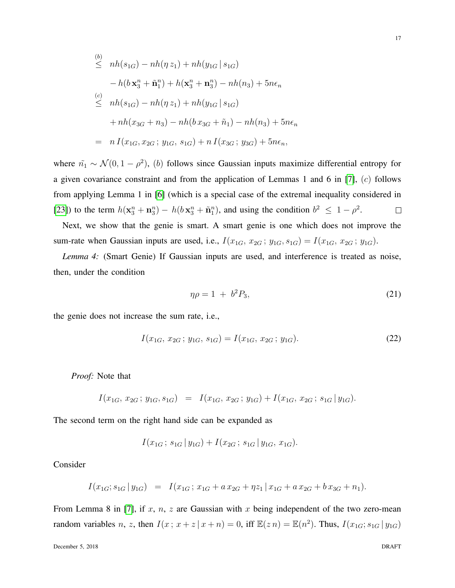$$
\leq nh(s_{1G}) - nh(\eta z_1) + nh(y_{1G} | s_{1G})
$$
\n
$$
-h(b\mathbf{x}_3^n + \tilde{\mathbf{n}}_1^n) + h(\mathbf{x}_3^n + \mathbf{n}_3^n) - nh(n_3) + 5n\epsilon_n
$$
\n
$$
\leq nh(s_{1G}) - nh(\eta z_1) + nh(y_{1G} | s_{1G})
$$
\n
$$
+ nh(x_{3G} + n_3) - nh(b\,x_{3G} + \tilde{n}_1) - nh(n_3) + 5n\epsilon_n
$$
\n
$$
= n I(x_{1G}, x_{2G}; y_{1G}, s_{1G}) + n I(x_{3G}; y_{3G}) + 5n\epsilon_n,
$$

where  $\tilde{n}_1 \sim \mathcal{N}(0, 1 - \rho^2)$ , (b) follows since Gaussian inputs maximize differential entropy for a given covariance constraint and from the application of Lemmas 1 and 6 in [\[7\]](#page-38-0),  $(c)$  follows from applying Lemma 1 in [\[6\]](#page-37-4) (which is a special case of the extremal inequality considered in [\[23\]](#page-38-16)) to the term  $h(\mathbf{x}_3^n + \mathbf{n}_3^n) - h(b\mathbf{x}_3^n + \tilde{\mathbf{n}}_1^n)$ , and using the condition  $b^2 \le 1 - \rho^2$ .  $\Box$ 

Next, we show that the genie is smart. A smart genie is one which does not improve the sum-rate when Gaussian inputs are used, i.e.,  $I(x_{1G}, x_{2G}; y_{1G}, s_{1G}) = I(x_{1G}, x_{2G}; y_{1G}).$ 

*Lemma 4:* (Smart Genie) If Gaussian inputs are used, and interference is treated as noise, then, under the condition

<span id="page-16-0"></span>
$$
\eta \rho = 1 + b^2 P_3,\tag{21}
$$

the genie does not increase the sum rate, i.e.,

<span id="page-16-1"></span>
$$
I(x_{1G}, x_{2G}; y_{1G}, s_{1G}) = I(x_{1G}, x_{2G}; y_{1G}).
$$
\n(22)

*Proof:* Note that

$$
I(x_{1G}, x_{2G}; y_{1G}, s_{1G}) = I(x_{1G}, x_{2G}; y_{1G}) + I(x_{1G}, x_{2G}; s_{1G} | y_{1G}).
$$

The second term on the right hand side can be expanded as

$$
I(x_{1G}; s_{1G} | y_{1G}) + I(x_{2G}; s_{1G} | y_{1G}, x_{1G}).
$$

Consider

$$
I(x_{1G}; s_{1G} | y_{1G}) = I(x_{1G}; x_{1G} + a x_{2G} + \eta z_1 | x_{1G} + a x_{2G} + b x_{3G} + n_1).
$$

From Lemma 8 in [\[7\]](#page-38-0), if  $x, n, z$  are Gaussian with  $x$  being independent of the two zero-mean random variables *n*, *z*, then  $I(x; x+z | x+n) = 0$ , iff  $\mathbb{E}(zn) = \mathbb{E}(n^2)$ . Thus,  $I(x_{1G}; s_{1G} | y_{1G})$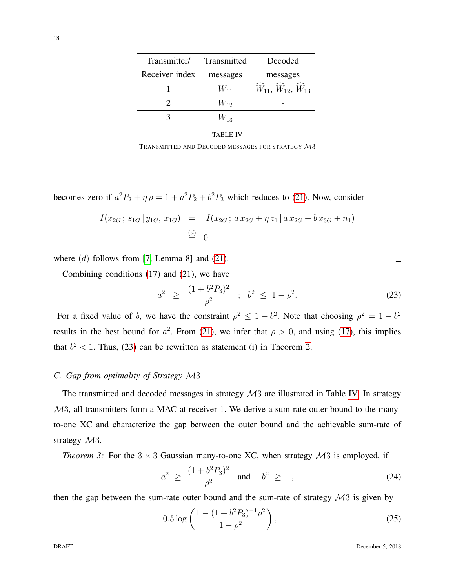| Transmitter/   | Transmitted | Decoded                  |
|----------------|-------------|--------------------------|
| Receiver index | messages    | messages                 |
|                | $W_{11}$    | $W_{11}, W_{12}, W_{13}$ |
|                | $W_{12}$    |                          |
|                | $W_{13}$    |                          |

#### TABLE IV

TRANSMITTED AND DECODED MESSAGES FOR STRATEGY M3

<span id="page-17-1"></span>becomes zero if  $a^2P_2 + \eta \rho = 1 + a^2P_2 + b^2P_3$  which reduces to [\(21\)](#page-16-0). Now, consider

$$
I(x_{2G}; s_{1G} | y_{1G}, x_{1G}) = I(x_{2G}; a x_{2G} + \eta z_1 | a x_{2G} + b x_{3G} + n_1)
$$
  

$$
\stackrel{(d)}{=} 0.
$$

where  $(d)$  follows from [\[7,](#page-38-0) Lemma 8] and [\(21\)](#page-16-0).

Combining conditions [\(17\)](#page-15-2) and [\(21\)](#page-16-0), we have

<span id="page-17-0"></span>
$$
a^2 \ge \frac{(1+b^2P_3)^2}{\rho^2} \; ; \; b^2 \le 1-\rho^2. \tag{23}
$$

For a fixed value of b, we have the constraint  $\rho^2 \leq 1 - b^2$ . Note that choosing  $\rho^2 = 1 - b^2$ results in the best bound for  $a^2$ . From [\(21\)](#page-16-0), we infer that  $\rho > 0$ , and using [\(17\)](#page-15-2), this implies that  $b<sup>2</sup> < 1$ . Thus, [\(23\)](#page-17-0) can be rewritten as statement (i) in Theorem [2.](#page-13-0)  $\Box$ 

## *C. Gap from optimality of Strategy* M3

The transmitted and decoded messages in strategy  $\mathcal{M}3$  are illustrated in Table [IV.](#page-17-1) In strategy M3, all transmitters form a MAC at receiver 1. We derive a sum-rate outer bound to the manyto-one XC and characterize the gap between the outer bound and the achievable sum-rate of strategy  $\mathcal{M}3$ .

*Theorem 3:* For the  $3 \times 3$  Gaussian many-to-one XC, when strategy  $\mathcal{M}3$  is employed, if

<span id="page-17-2"></span>
$$
a^2 \ge \frac{(1 + b^2 P_3)^2}{\rho^2} \quad \text{and} \quad b^2 \ge 1,
$$
 (24)

then the gap between the sum-rate outer bound and the sum-rate of strategy  $\mathcal{M}3$  is given by

<span id="page-17-3"></span>
$$
0.5 \log \left( \frac{1 - (1 + b^2 P_3)^{-1} \rho^2}{1 - \rho^2} \right), \tag{25}
$$

 $\Box$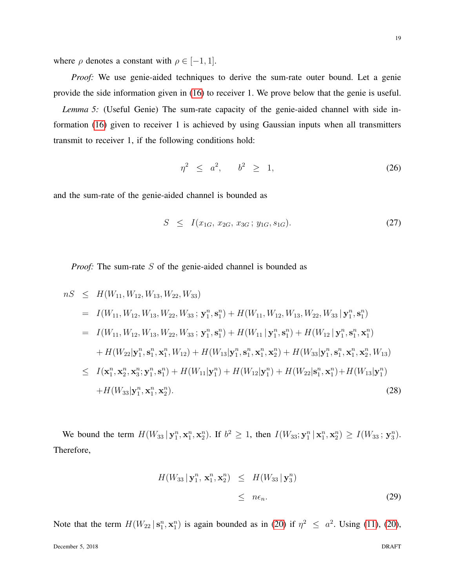where  $\rho$  denotes a constant with  $\rho \in [-1, 1]$ .

*Proof:* We use genie-aided techniques to derive the sum-rate outer bound. Let a genie provide the side information given in [\(16\)](#page-14-1) to receiver 1. We prove below that the genie is useful.

*Lemma 5:* (Useful Genie) The sum-rate capacity of the genie-aided channel with side information [\(16\)](#page-14-1) given to receiver 1 is achieved by using Gaussian inputs when all transmitters transmit to receiver 1, if the following conditions hold:

<span id="page-18-2"></span>
$$
\eta^2 \leq a^2, \qquad b^2 \geq 1,\tag{26}
$$

and the sum-rate of the genie-aided channel is bounded as

$$
S \leq I(x_{1G}, x_{2G}, x_{3G}; y_{1G}, s_{1G}). \tag{27}
$$

*Proof:* The sum-rate S of the genie-aided channel is bounded as

<span id="page-18-1"></span>
$$
nS \leq H(W_{11}, W_{12}, W_{13}, W_{22}, W_{33})
$$
  
\n
$$
= I(W_{11}, W_{12}, W_{13}, W_{22}, W_{33}; \mathbf{y}_1^n, \mathbf{s}_1^n) + H(W_{11}, W_{12}, W_{13}, W_{22}, W_{33} | \mathbf{y}_1^n, \mathbf{s}_1^n)
$$
  
\n
$$
= I(W_{11}, W_{12}, W_{13}, W_{22}, W_{33}; \mathbf{y}_1^n, \mathbf{s}_1^n) + H(W_{11} | \mathbf{y}_1^n, \mathbf{s}_1^n) + H(W_{12} | \mathbf{y}_1^n, \mathbf{s}_1^n, \mathbf{x}_1^n)
$$
  
\n
$$
+ H(W_{22} | \mathbf{y}_1^n, \mathbf{s}_1^n, \mathbf{x}_1^n, W_{12}) + H(W_{13} | \mathbf{y}_1^n, \mathbf{s}_1^n, \mathbf{x}_1^n, \mathbf{x}_2^n) + H(W_{33} | \mathbf{y}_1^n, \mathbf{s}_1^n, \mathbf{x}_1^n, \mathbf{x}_2^n, W_{13})
$$
  
\n
$$
\leq I(\mathbf{x}_1^n, \mathbf{x}_2^n, \mathbf{x}_3^n; \mathbf{y}_1^n, \mathbf{s}_1^n) + H(W_{11} | \mathbf{y}_1^n) + H(W_{12} | \mathbf{y}_1^n) + H(W_{22} | \mathbf{s}_1^n, \mathbf{x}_1^n) + H(W_{13} | \mathbf{y}_1^n)
$$
  
\n
$$
+ H(W_{33} | \mathbf{y}_1^n, \mathbf{x}_1^n, \mathbf{x}_2^n).
$$
\n(28)

We bound the term  $H(W_{33} | \mathbf{y}_1^n, \mathbf{x}_1^n, \mathbf{x}_2^n)$ . If  $b^2 \ge 1$ , then  $I(W_{33}; \mathbf{y}_1^n | \mathbf{x}_1^n, \mathbf{x}_2^n) \ge I(W_{33}; \mathbf{y}_3^n)$ . Therefore,

<span id="page-18-0"></span>
$$
H(W_{33} | \mathbf{y}_1^n, \mathbf{x}_1^n, \mathbf{x}_2^n) \leq H(W_{33} | \mathbf{y}_3^n)
$$
  
\$\leq\$  $n\epsilon_n$ . (29)

Note that the term  $H(W_{22} | s_1^n, x_1^n)$  is again bounded as in [\(20\)](#page-15-0) if  $\eta^2 \leq a^2$ . Using [\(11\)](#page-11-1), (20),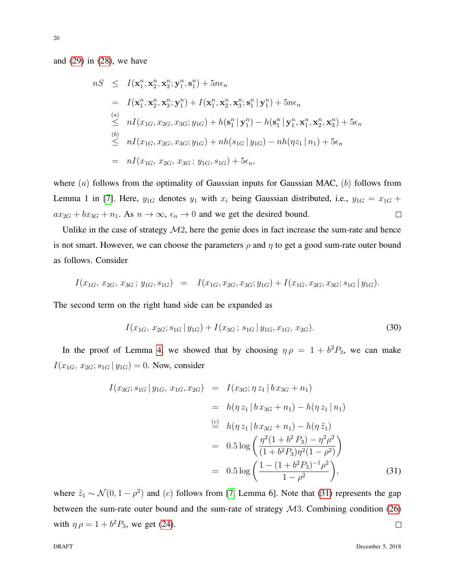and [\(29\)](#page-18-0) in [\(28\)](#page-18-1), we have

$$
nS \leq I(\mathbf{x}_1^n, \mathbf{x}_2^n, \mathbf{x}_3^n; \mathbf{y}_1^n, \mathbf{s}_1^n) + 5n\epsilon_n
$$
  
\n
$$
= I(\mathbf{x}_1^n, \mathbf{x}_2^n, \mathbf{x}_3^n; \mathbf{y}_1^n) + I(\mathbf{x}_1^n, \mathbf{x}_2^n, \mathbf{x}_3^n; \mathbf{s}_1^n | \mathbf{y}_1^n) + 5n\epsilon_n
$$
  
\n(a) 
$$
nI(x_{1G}, x_{2G}, x_{3G}; y_{1G}) + h(\mathbf{s}_1^n | \mathbf{y}_1^n) - h(\mathbf{s}_1^n | \mathbf{y}_1^n, \mathbf{x}_1^n, \mathbf{x}_2^n, \mathbf{x}_3^n) + 5\epsilon_n
$$
  
\n(b) 
$$
nI(x_{1G}, x_{2G}, x_{3G}; y_{1G}) + nh(s_{1G} | y_{1G}) - nh(\eta z_1 | n_1) + 5\epsilon_n
$$
  
\n
$$
= nI(x_{1G}, x_{2G}, x_{3G}; y_{1G}, s_{1G}) + 5\epsilon_n,
$$

where  $(a)$  follows from the optimality of Gaussian inputs for Gaussian MAC,  $(b)$  follows from Lemma 1 in [\[7\]](#page-38-0). Here,  $y_{1G}$  denotes  $y_1$  with  $x_i$  being Gaussian distributed, i.e.,  $y_{1G} = x_{1G} +$  $ax_{2G} + bx_{3G} + n_1$ . As  $n \to \infty$ ,  $\epsilon_n \to 0$  and we get the desired bound.  $\Box$ 

Unlike in the case of strategy  $M2$ , here the genie does in fact increase the sum-rate and hence is not smart. However, we can choose the parameters  $\rho$  and  $\eta$  to get a good sum-rate outer bound as follows. Consider

$$
I(x_{1G}, x_{2G}, x_{3G}; y_{1G}, s_{1G}) = I(x_{1G}, x_{2G}, x_{3G}; y_{1G}) + I(x_{1G}, x_{2G}, x_{3G}; s_{1G} | y_{1G}).
$$

The second term on the right hand side can be expanded as

$$
I(x_{1G}, x_{2G}; s_{1G} | y_{1G}) + I(x_{3G}; s_{1G} | y_{1G}, x_{1G}, x_{2G}).
$$
\n(30)

In the proof of Lemma [4,](#page-16-1) we showed that by choosing  $\eta \rho = 1 + b^2 P_3$ , we can make  $I(x_{1G}, x_{2G}; s_{1G} | y_{1G}) = 0$ . Now, consider

<span id="page-19-0"></span>
$$
I(x_{3G}; s_{1G} | y_{1G}, x_{1G}, x_{2G}) = I(x_{3G}; \eta z_1 | b x_{3G} + n_1)
$$
  
\n
$$
= h(\eta z_1 | b x_{3G} + n_1) - h(\eta z_1 | n_1)
$$
  
\n
$$
\stackrel{(c)}{=} h(\eta z_1 | b x_{3G} + n_1) - h(\eta \tilde{z}_1)
$$
  
\n
$$
= 0.5 \log \left( \frac{\eta^2 (1 + b^2 P_3) - \eta^2 \rho^2}{(1 + b^2 P_3) \eta^2 (1 - \rho^2)} \right)
$$
  
\n
$$
= 0.5 \log \left( \frac{1 - (1 + b^2 P_3)^{-1} \rho^2}{1 - \rho^2} \right),
$$
 (31)

where  $\tilde{z}_1 \sim \mathcal{N}(0, 1 - \rho^2)$  and (c) follows from [\[7,](#page-38-0) Lemma 6]. Note that [\(31\)](#page-19-0) represents the gap between the sum-rate outer bound and the sum-rate of strategy  $\mathcal{M}3$ . Combining condition [\(26\)](#page-18-2) with  $\eta \rho = 1 + b^2 P_3$ , we get [\(24\)](#page-17-2).  $\Box$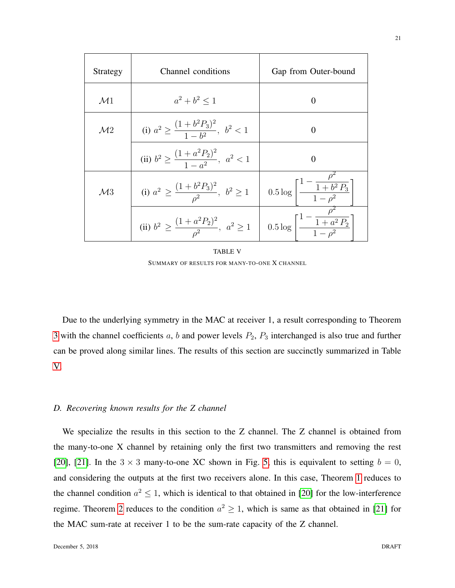| Strategy       | Channel conditions                                                                                                                           | Gap from Outer-bound                                        |
|----------------|----------------------------------------------------------------------------------------------------------------------------------------------|-------------------------------------------------------------|
| $\mathcal{M}1$ | $a^2 + b^2 \leq 1$                                                                                                                           | $\Omega$                                                    |
| $\mathcal{M}2$ | (i) $a^2 \geq \frac{(1+b^2P_3)^2}{1-k^2}, b^2 < 1$                                                                                           | $\Omega$                                                    |
|                | (ii) $b^2 \geq \frac{(1+a^2P_2)^2}{1-a^2}$ , $a^2 < 1$                                                                                       | 0                                                           |
| $\mathcal{M}3$ | (i) $a^2 \geq \frac{(1+b^2P_3)^2}{a^2}$ , $b^2 \geq 1$                                                                                       | $0.5\log\left[\frac{1-\frac{\rho}{1+b^2P_3}}{1-a^2}\right]$ |
|                | (ii) $b^2 \ge \frac{(1+a^2P_2)^2}{\rho^2}$ , $a^2 \ge 1$ $\left  0.5 \log \left[ \frac{1-\frac{\rho^2}{1+a^2P_2}}{1-\rho^2} \right] \right $ |                                                             |

TABLE V SUMMARY OF RESULTS FOR MANY-TO-ONE X CHANNEL

<span id="page-20-0"></span>Due to the underlying symmetry in the MAC at receiver 1, a result corresponding to Theorem [3](#page-17-3) with the channel coefficients  $a, b$  and power levels  $P_2, P_3$  interchanged is also true and further can be proved along similar lines. The results of this section are succinctly summarized in Table [V.](#page-20-0)

# *D. Recovering known results for the Z channel*

We specialize the results in this section to the Z channel. The Z channel is obtained from the many-to-one X channel by retaining only the first two transmitters and removing the rest [\[20\]](#page-38-13), [\[21\]](#page-38-14). In the  $3 \times 3$  many-to-one XC shown in Fig. [5,](#page-10-1) this is equivalent to setting  $b = 0$ , and considering the outputs at the first two receivers alone. In this case, Theorem [1](#page-12-2) reduces to the channel condition  $a^2 \leq 1$ , which is identical to that obtained in [\[20\]](#page-38-13) for the low-interference regime. Theorem [2](#page-13-0) reduces to the condition  $a^2 \geq 1$ , which is same as that obtained in [\[21\]](#page-38-14) for the MAC sum-rate at receiver 1 to be the sum-rate capacity of the Z channel.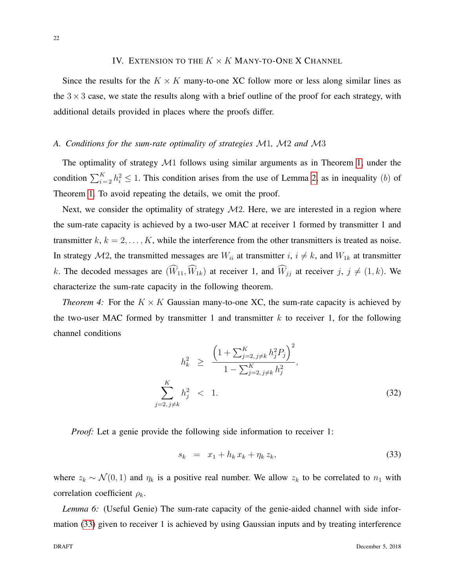## IV. EXTENSION TO THE  $K \times K$  MANY-TO-ONE X CHANNEL

<span id="page-21-0"></span>Since the results for the  $K \times K$  many-to-one XC follow more or less along similar lines as the  $3 \times 3$  case, we state the results along with a brief outline of the proof for each strategy, with additional details provided in places where the proofs differ.

## <span id="page-21-3"></span>*A. Conditions for the sum-rate optimality of strategies* M1*,* M2 *and* M3

The optimality of strategy  $\mathcal{M}1$  follows using similar arguments as in Theorem [1,](#page-12-2) under the condition  $\sum_{i=2}^{K} h_i^2 \le 1$ . This condition arises from the use of Lemma [2,](#page-11-0) as in inequality (b) of Theorem [1.](#page-12-2) To avoid repeating the details, we omit the proof.

Next, we consider the optimality of strategy  $M2$ . Here, we are interested in a region where the sum-rate capacity is achieved by a two-user MAC at receiver 1 formed by transmitter 1 and transmitter  $k, k = 2, \ldots, K$ , while the interference from the other transmitters is treated as noise. In strategy  $M2$ , the transmitted messages are  $W_{ii}$  at transmitter  $i, i \neq k$ , and  $W_{1k}$  at transmitter k. The decoded messages are  $(\widehat{W}_{11}, \widehat{W}_{1k})$  at receiver 1, and  $\widehat{W}_{jj}$  at receiver j,  $j \neq (1, k)$ . We characterize the sum-rate capacity in the following theorem.

*Theorem 4:* For the  $K \times K$  Gaussian many-to-one XC, the sum-rate capacity is achieved by the two-user MAC formed by transmitter 1 and transmitter  $k$  to receiver 1, for the following channel conditions

<span id="page-21-2"></span>
$$
h_k^2 \ge \frac{\left(1 + \sum_{j=2, j \neq k}^K h_j^2 P_j\right)^2}{1 - \sum_{j=2, j \neq k}^K h_j^2},
$$
\n
$$
\sum_{j=2, j \neq k}^K h_j^2 < 1. \tag{32}
$$

*Proof:* Let a genie provide the following side information to receiver 1:

<span id="page-21-1"></span>
$$
s_k = x_1 + h_k x_k + \eta_k z_k, \tag{33}
$$

where  $z_k \sim \mathcal{N}(0, 1)$  and  $\eta_k$  is a positive real number. We allow  $z_k$  to be correlated to  $n_1$  with correlation coefficient  $\rho_k$ .

*Lemma 6:* (Useful Genie) The sum-rate capacity of the genie-aided channel with side information [\(33\)](#page-21-1) given to receiver 1 is achieved by using Gaussian inputs and by treating interference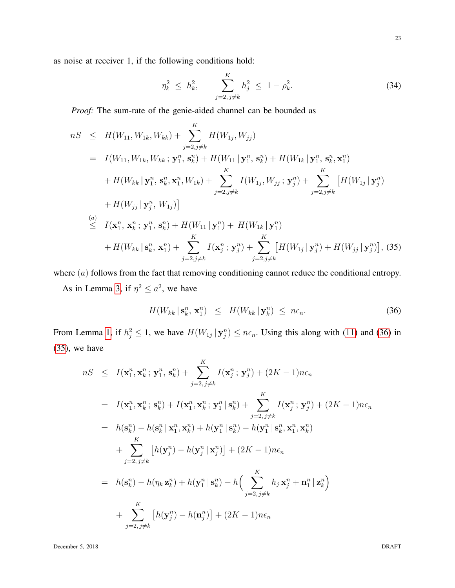as noise at receiver 1, if the following conditions hold:

<span id="page-22-2"></span>
$$
\eta_k^2 \le h_k^2, \qquad \sum_{j=2, \, j \neq k}^K h_j^2 \le 1 - \rho_k^2. \tag{34}
$$

*Proof:* The sum-rate of the genie-aided channel can be bounded as

<span id="page-22-1"></span>
$$
nS \leq H(W_{11}, W_{1k}, W_{kk}) + \sum_{j=2, j \neq k}^{K} H(W_{1j}, W_{jj})
$$
  
\n
$$
= I(W_{11}, W_{1k}, W_{kk}; \mathbf{y}_{1}^{n}, \mathbf{s}_{k}^{n}) + H(W_{11} | \mathbf{y}_{1}^{n}, \mathbf{s}_{k}^{n}) + H(W_{1k} | \mathbf{y}_{1}^{n}, \mathbf{s}_{k}^{n}, \mathbf{x}_{1}^{n})
$$
  
\n
$$
+ H(W_{kk} | \mathbf{y}_{1}^{n}, \mathbf{s}_{k}^{n}, \mathbf{x}_{1}^{n}, W_{1k}) + \sum_{j=2, j \neq k}^{K} I(W_{1j}, W_{jj}; \mathbf{y}_{j}^{n}) + \sum_{j=2, j \neq k}^{K} [H(W_{1j} | \mathbf{y}_{j}^{n})
$$
  
\n
$$
+ H(W_{jj} | \mathbf{y}_{j}^{n}, W_{1j})]
$$
  
\n(a) 
$$
I(\mathbf{x}_{1}^{n}, \mathbf{x}_{k}^{n}; \mathbf{y}_{1}^{n}, \mathbf{s}_{k}^{n}) + H(W_{11} | \mathbf{y}_{1}^{n}) + H(W_{1k} | \mathbf{y}_{1}^{n})
$$
  
\n
$$
+ H(W_{kk} | \mathbf{s}_{k}^{n}, \mathbf{x}_{1}^{n}) + \sum_{j=2, j \neq k}^{K} I(\mathbf{x}_{j}^{n}; \mathbf{y}_{j}^{n}) + \sum_{j=2, j \neq k}^{K} [H(W_{1j} | \mathbf{y}_{j}^{n}) + H(W_{jj} | \mathbf{y}_{j}^{n})],
$$
(35)

where  $(a)$  follows from the fact that removing conditioning cannot reduce the conditional entropy.

As in Lemma [3,](#page-15-3) if  $\eta^2 \leq a^2$ , we have

<span id="page-22-0"></span>
$$
H(W_{kk} | \mathbf{s}_k^n, \mathbf{x}_1^n) \leq H(W_{kk} | \mathbf{y}_k^n) \leq n\epsilon_n.
$$
 (36)

From Lemma [1,](#page-8-0) if  $h_j^2 \leq 1$ , we have  $H(W_{1j} | \mathbf{y}_j^n) \leq n\epsilon_n$ . Using this along with [\(11\)](#page-11-1) and [\(36\)](#page-22-0) in [\(35\)](#page-22-1), we have

$$
nS \leq I(\mathbf{x}_1^n, \mathbf{x}_k^n; \mathbf{y}_1^n, \mathbf{s}_k^n) + \sum_{j=2, j\neq k}^K I(\mathbf{x}_j^n; \mathbf{y}_j^n) + (2K - 1)n\epsilon_n
$$
  
\n
$$
= I(\mathbf{x}_1^n, \mathbf{x}_k^n; \mathbf{s}_k^n) + I(\mathbf{x}_1^n, \mathbf{x}_k^n; \mathbf{y}_1^n | \mathbf{s}_k^n) + \sum_{j=2, j\neq k}^K I(\mathbf{x}_j^n; \mathbf{y}_j^n) + (2K - 1)n\epsilon_n
$$
  
\n
$$
= h(\mathbf{s}_k^n) - h(\mathbf{s}_k^n | \mathbf{x}_1^n, \mathbf{x}_k^n) + h(\mathbf{y}_1^n | \mathbf{s}_k^n) - h(\mathbf{y}_1^n | \mathbf{s}_k^n, \mathbf{x}_1^n, \mathbf{x}_k^n)
$$
  
\n
$$
+ \sum_{j=2, j\neq k}^K [h(\mathbf{y}_j^n) - h(\mathbf{y}_j^n | \mathbf{x}_j^n)] + (2K - 1)n\epsilon_n
$$
  
\n
$$
= h(\mathbf{s}_k^n) - h(\eta_k \mathbf{z}_k^n) + h(\mathbf{y}_1^n | \mathbf{s}_k^n) - h\left(\sum_{j=2, j\neq k}^K h_j \mathbf{x}_j^n + \mathbf{n}_1^n | \mathbf{z}_k^n\right)
$$
  
\n
$$
+ \sum_{j=2, j\neq k}^K [h(\mathbf{y}_j^n) - h(\mathbf{n}_j^n)] + (2K - 1)n\epsilon_n
$$

December 5, 2018 DRAFT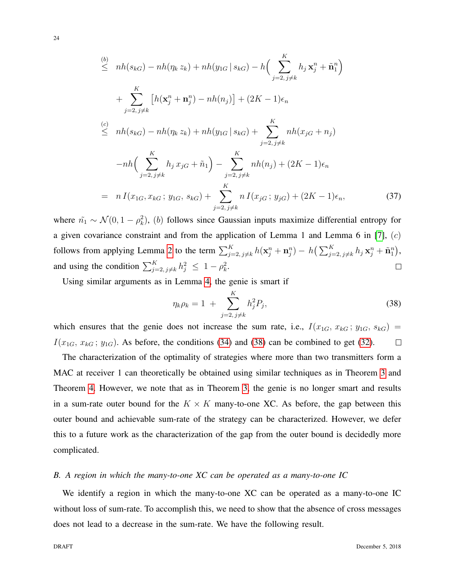$$
\leq nh(s_{kG}) - nh(\eta_k z_k) + nh(y_{1G} | s_{kG}) - h\Big(\sum_{j=2, j\neq k}^{K} h_j \mathbf{x}_j^n + \tilde{\mathbf{n}}_1^n\Big) \n+ \sum_{j=2, j\neq k}^{K} \left[h(\mathbf{x}_j^n + \mathbf{n}_j^n) - nh(n_j)\right] + (2K - 1)\epsilon_n \n\leq nh(s_{kG}) - nh(\eta_k z_k) + nh(y_{1G} | s_{kG}) + \sum_{j=2, j\neq k}^{K} nh(x_{jG} + n_j) \n-nh\Big(\sum_{j=2, j\neq k}^{K} h_j x_{jG} + \tilde{n}_1\Big) - \sum_{j=2, j\neq k}^{K} nh(n_j) + (2K - 1)\epsilon_n \n= n I(x_{1G}, x_{kG}; y_{1G}, s_{kG}) + \sum_{j=2, j\neq k}^{K} n I(x_{jG}; y_{jG}) + (2K - 1)\epsilon_n,
$$
\n(37)

where  $\tilde{n}_1 \sim \mathcal{N}(0, 1 - \rho_k^2)$ , (b) follows since Gaussian inputs maximize differential entropy for a given covariance constraint and from the application of Lemma 1 and Lemma 6 in [\[7\]](#page-38-0),  $(c)$ follows from applying Lemma [2](#page-11-0) to the term  $\sum_{j=2, j\neq k}^{K} h(\mathbf{x}_j^n + \mathbf{n}_j^n) - h(\sum_{j=2, j\neq k}^{K} h_j \mathbf{x}_j^n + \tilde{\mathbf{n}}_1^n)$ , and using the condition  $\sum_{j=2, j\neq k}^{K} h_j^2 \leq 1 - \rho_k^2$ .  $\Box$ 

Using similar arguments as in Lemma [4,](#page-16-1) the genie is smart if

<span id="page-23-0"></span>
$$
\eta_k \rho_k = 1 + \sum_{j=2, j \neq k}^K h_j^2 P_j,\tag{38}
$$

which ensures that the genie does not increase the sum rate, i.e.,  $I(x_{1G}, x_{kG}; y_{1G}, s_{kG}) =$  $I(x_{1G}, x_{kG}; y_{1G})$ . As before, the conditions [\(34\)](#page-22-2) and [\(38\)](#page-23-0) can be combined to get [\(32\)](#page-21-2).  $\Box$ 

The characterization of the optimality of strategies where more than two transmitters form a MAC at receiver 1 can theoretically be obtained using similar techniques as in Theorem [3](#page-17-3) and Theorem [4.](#page-21-2) However, we note that as in Theorem [3,](#page-17-3) the genie is no longer smart and results in a sum-rate outer bound for the  $K \times K$  many-to-one XC. As before, the gap between this outer bound and achievable sum-rate of the strategy can be characterized. However, we defer this to a future work as the characterization of the gap from the outer bound is decidedly more complicated.

#### *B. A region in which the many-to-one XC can be operated as a many-to-one IC*

We identify a region in which the many-to-one XC can be operated as a many-to-one IC without loss of sum-rate. To accomplish this, we need to show that the absence of cross messages does not lead to a decrease in the sum-rate. We have the following result.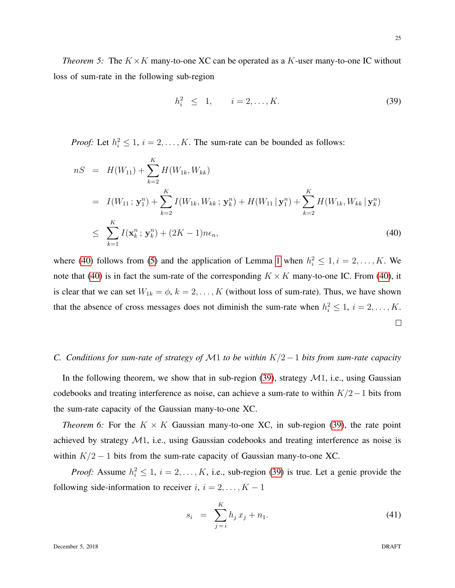*Theorem 5:* The  $K \times K$  many-to-one XC can be operated as a K-user many-to-one IC without loss of sum-rate in the following sub-region

<span id="page-24-1"></span>
$$
h_i^2 \le 1, \qquad i = 2, \dots, K. \tag{39}
$$

*Proof:* Let  $h_i^2 \leq 1$ ,  $i = 2, ..., K$ . The sum-rate can be bounded as follows:

<span id="page-24-0"></span>
$$
nS = H(W_{11}) + \sum_{k=2}^{K} H(W_{1k}, W_{kk})
$$
  
\n
$$
= I(W_{11}; \mathbf{y}_1^n) + \sum_{k=2}^{K} I(W_{1k}, W_{kk}; \mathbf{y}_k^n) + H(W_{11} | \mathbf{y}_1^n) + \sum_{k=2}^{K} H(W_{1k}, W_{kk} | \mathbf{y}_k^n)
$$
  
\n
$$
\leq \sum_{k=1}^{K} I(\mathbf{x}_k^n; \mathbf{y}_k^n) + (2K - 1)n\epsilon_n,
$$
\n(40)

where [\(40\)](#page-24-0) follows from [\(5\)](#page-8-1) and the application of Lemma [1](#page-8-0) when  $h_i^2 \leq 1, i = 2, \ldots, K$ . We note that [\(40\)](#page-24-0) is in fact the sum-rate of the corresponding  $K \times K$  many-to-one IC. From (40), it is clear that we can set  $W_{1k} = \phi$ ,  $k = 2, \dots, K$  (without loss of sum-rate). Thus, we have shown that the absence of cross messages does not diminish the sum-rate when  $h_i^2 \leq 1$ ,  $i = 2, \ldots, K$ .  $\Box$ 

## *C. Conditions for sum-rate of strategy of* M1 *to be within* K/2−1 *bits from sum-rate capacity*

In the following theorem, we show that in sub-region  $(39)$ , strategy  $\mathcal{M}1$ , i.e., using Gaussian codebooks and treating interference as noise, can achieve a sum-rate to within  $K/2-1$  bits from the sum-rate capacity of the Gaussian many-to-one XC.

<span id="page-24-3"></span>*Theorem 6:* For the  $K \times K$  Gaussian many-to-one XC, in sub-region [\(39\)](#page-24-1), the rate point achieved by strategy M1, i.e., using Gaussian codebooks and treating interference as noise is within  $K/2 - 1$  bits from the sum-rate capacity of Gaussian many-to-one XC.

*Proof:* Assume  $h_i^2 \leq 1$ ,  $i = 2, ..., K$ , i.e., sub-region [\(39\)](#page-24-1) is true. Let a genie provide the following side-information to receiver  $i, i = 2, \ldots, K - 1$ 

<span id="page-24-2"></span>
$$
s_i = \sum_{j=i}^{K} h_j x_j + n_1. \tag{41}
$$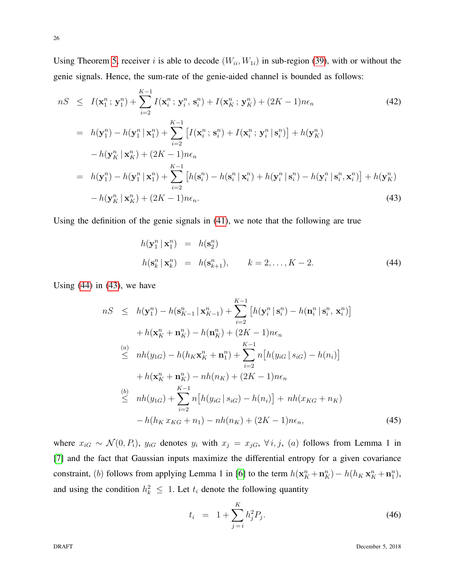Using Theorem [5,](#page-24-1) receiver i is able to decode  $(W_{ii}, W_{1i})$  in sub-region [\(39\)](#page-24-1), with or without the genie signals. Hence, the sum-rate of the genie-aided channel is bounded as follows:

<span id="page-25-1"></span>
$$
nS \leq I(\mathbf{x}_1^n; \mathbf{y}_1^n) + \sum_{i=2}^{K-1} I(\mathbf{x}_i^n; \mathbf{y}_i^n, \mathbf{s}_i^n) + I(\mathbf{x}_K^n; \mathbf{y}_K^n) + (2K-1)n\epsilon_n
$$
\n
$$
= h(\mathbf{y}_1^n) - h(\mathbf{y}_1^n | \mathbf{x}_1^n) + \sum_{i=2}^{K-1} \left[ I(\mathbf{x}_i^n; \mathbf{s}_i^n) + I(\mathbf{x}_i^n; \mathbf{y}_i^n | \mathbf{s}_i^n) \right] + h(\mathbf{y}_K^n)
$$
\n
$$
- h(\mathbf{y}_K^n | \mathbf{x}_K^n) + (2K-1)n\epsilon_n
$$
\n
$$
= h(\mathbf{y}_1^n) - h(\mathbf{y}_1^n | \mathbf{x}_1^n) + \sum_{i=2}^{K-1} \left[ h(\mathbf{s}_i^n) - h(\mathbf{s}_i^n | \mathbf{x}_i^n) + h(\mathbf{y}_i^n | \mathbf{s}_i^n) - h(\mathbf{y}_i^n | \mathbf{s}_i^n, \mathbf{x}_i^n) \right] + h(\mathbf{y}_K^n)
$$
\n
$$
- h(\mathbf{y}_K^n | \mathbf{x}_K^n) + (2K-1)n\epsilon_n.
$$
\n(43)

Using the definition of the genie signals in [\(41\)](#page-24-2), we note that the following are true

<span id="page-25-0"></span>
$$
h(\mathbf{y}_1^n | \mathbf{x}_1^n) = h(\mathbf{s}_2^n)
$$
  

$$
h(\mathbf{s}_k^n | \mathbf{x}_k^n) = h(\mathbf{s}_{k+1}^n), \qquad k = 2, \dots, K - 2.
$$
 (44)

Using  $(44)$  in  $(43)$ , we have

<span id="page-25-3"></span>
$$
nS \leq h(\mathbf{y}_{1}^{n}) - h(\mathbf{s}_{K-1}^{n} | \mathbf{x}_{K-1}^{n}) + \sum_{i=2}^{K-1} \left[ h(\mathbf{y}_{i}^{n} | \mathbf{s}_{i}^{n}) - h(\mathbf{n}_{i}^{n} | \mathbf{s}_{i}^{n}, \mathbf{x}_{i}^{n}) \right] + h(\mathbf{x}_{K}^{n} + \mathbf{n}_{K}^{n}) - h(\mathbf{n}_{K}^{n}) + (2K - 1)n\epsilon_{n}
$$
  
\n(a) 
$$
\leq nh(y_{1G}) - h(h_{K}\mathbf{x}_{K}^{n} + \mathbf{n}_{1}^{n}) + \sum_{i=2}^{K-1} n \left[ h(y_{iG} | s_{iG}) - h(n_{i}) \right] + h(\mathbf{x}_{K}^{n} + \mathbf{n}_{K}^{n}) - nh(n_{K}) + (2K - 1)n\epsilon_{n}
$$
  
\n(b) 
$$
\leq nh(y_{1G}) + \sum_{i=2}^{K-1} n \left[ h(y_{iG} | s_{iG}) - h(n_{i}) \right] + nh(x_{KG} + n_{K}) - h(h_{K}x_{KG} + n_{1}) - nh(n_{K}) + (2K - 1)n\epsilon_{n}, \tag{45}
$$

where  $x_{iG} \sim \mathcal{N}(0, P_i)$ ,  $y_{iG}$  denotes  $y_i$  with  $x_j = x_{jG}$ ,  $\forall i, j$ ,  $(a)$  follows from Lemma 1 in [\[7\]](#page-38-0) and the fact that Gaussian inputs maximize the differential entropy for a given covariance constraint, (b) follows from applying Lemma 1 in [\[6\]](#page-37-4) to the term  $h(\mathbf{x}_K^n + \mathbf{n}_K^n) - h(h_K \mathbf{x}_K^n + \mathbf{n}_1^n)$ , and using the condition  $h_k^2 \leq 1$ . Let  $t_i$  denote the following quantity

<span id="page-25-2"></span>
$$
t_i = 1 + \sum_{j=i}^{K} h_j^2 P_j.
$$
 (46)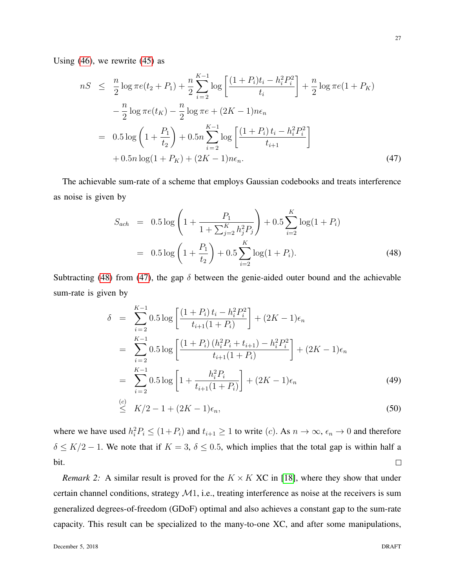Using  $(46)$ , we rewrite  $(45)$  as

<span id="page-26-1"></span>
$$
nS \leq \frac{n}{2} \log \pi e(t_2 + P_1) + \frac{n}{2} \sum_{i=2}^{K-1} \log \left[ \frac{(1+P_i)t_i - h_i^2 P_i^2}{t_i} \right] + \frac{n}{2} \log \pi e(1+P_K)
$$
  

$$
- \frac{n}{2} \log \pi e(t_K) - \frac{n}{2} \log \pi e + (2K-1)n\epsilon_n
$$
  

$$
= 0.5 \log \left(1 + \frac{P_1}{t_2}\right) + 0.5n \sum_{i=2}^{K-1} \log \left[ \frac{(1+P_i)t_i - h_i^2 P_i^2}{t_{i+1}} \right]
$$
  

$$
+ 0.5n \log(1 + P_K) + (2K-1)n\epsilon_n.
$$
 (47)

The achievable sum-rate of a scheme that employs Gaussian codebooks and treats interference as noise is given by

<span id="page-26-0"></span>
$$
S_{ach} = 0.5 \log \left( 1 + \frac{P_1}{1 + \sum_{j=2}^{K} h_j^2 P_j} \right) + 0.5 \sum_{i=2}^{K} \log(1 + P_i)
$$
  
= 0.5 \log \left( 1 + \frac{P\_1}{t\_2} \right) + 0.5 \sum\_{i=2}^{K} \log(1 + P\_i). (48)

Subtracting [\(48\)](#page-26-0) from [\(47\)](#page-26-1), the gap  $\delta$  between the genie-aided outer bound and the achievable sum-rate is given by

<span id="page-26-2"></span>
$$
\delta = \sum_{i=2}^{K-1} 0.5 \log \left[ \frac{(1+P_i) t_i - h_i^2 P_i^2}{t_{i+1}(1+P_i)} \right] + (2K-1)\epsilon_n
$$
  
\n
$$
= \sum_{i=2}^{K-1} 0.5 \log \left[ \frac{(1+P_i) (h_i^2 P_i + t_{i+1}) - h_i^2 P_i^2}{t_{i+1}(1+P_i)} \right] + (2K-1)\epsilon_n
$$
  
\n
$$
= \sum_{i=2}^{K-1} 0.5 \log \left[ 1 + \frac{h_i^2 P_i}{t_{i+1}(1+P_i)} \right] + (2K-1)\epsilon_n
$$
  
\n
$$
\leq K/2 - 1 + (2K-1)\epsilon_n,
$$
 (50)

where we have used  $h_i^2 P_i \le (1+P_i)$  and  $t_{i+1} \ge 1$  to write  $(c)$ . As  $n \to \infty$ ,  $\epsilon_n \to 0$  and therefore  $\delta \leq K/2 - 1$ . We note that if  $K = 3$ ,  $\delta \leq 0.5$ , which implies that the total gap is within half a bit.  $\Box$ 

*Remark 2:* A similar result is proved for the  $K \times K$  XC in [\[18\]](#page-38-12), where they show that under certain channel conditions, strategy  $M1$ , i.e., treating interference as noise at the receivers is sum generalized degrees-of-freedom (GDoF) optimal and also achieves a constant gap to the sum-rate capacity. This result can be specialized to the many-to-one XC, and after some manipulations,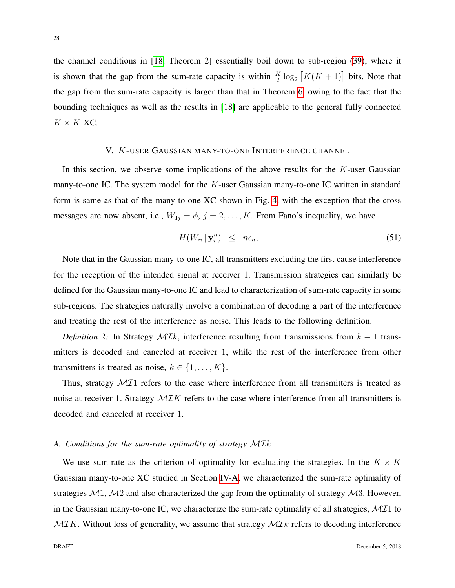the channel conditions in [\[18,](#page-38-12) Theorem 2] essentially boil down to sub-region [\(39\)](#page-24-1), where it is shown that the gap from the sum-rate capacity is within  $\frac{K}{2} \log_2 [K(K+1)]$  bits. Note that the gap from the sum-rate capacity is larger than that in Theorem [6,](#page-24-3) owing to the fact that the bounding techniques as well as the results in [\[18\]](#page-38-12) are applicable to the general fully connected  $K \times K$  XC.

# V. K-USER GAUSSIAN MANY-TO-ONE INTERFERENCE CHANNEL

<span id="page-27-0"></span>In this section, we observe some implications of the above results for the  $K$ -user Gaussian many-to-one IC. The system model for the K-user Gaussian many-to-one IC written in standard form is same as that of the many-to-one XC shown in Fig. [4,](#page-7-0) with the exception that the cross messages are now absent, i.e.,  $W_{1j} = \phi$ ,  $j = 2, ..., K$ . From Fano's inequality, we have

<span id="page-27-1"></span>
$$
H(W_{ii} | \mathbf{y}_i^n) \leq n\epsilon_n, \tag{51}
$$

Note that in the Gaussian many-to-one IC, all transmitters excluding the first cause interference for the reception of the intended signal at receiver 1. Transmission strategies can similarly be defined for the Gaussian many-to-one IC and lead to characterization of sum-rate capacity in some sub-regions. The strategies naturally involve a combination of decoding a part of the interference and treating the rest of the interference as noise. This leads to the following definition.

*Definition 2:* In Strategy  $MIk$ , interference resulting from transmissions from  $k-1$  transmitters is decoded and canceled at receiver 1, while the rest of the interference from other transmitters is treated as noise,  $k \in \{1, \ldots, K\}$ .

Thus, strategy  $\mathcal{M}I1$  refers to the case where interference from all transmitters is treated as noise at receiver 1. Strategy  $MIK$  refers to the case where interference from all transmitters is decoded and canceled at receiver 1.

#### *A. Conditions for the sum-rate optimality of strategy* MIk

We use sum-rate as the criterion of optimality for evaluating the strategies. In the  $K \times K$ Gaussian many-to-one XC studied in Section [IV-A,](#page-21-3) we characterized the sum-rate optimality of strategies  $\mathcal{M}$ 1,  $\mathcal{M}$ 2 and also characterized the gap from the optimality of strategy  $\mathcal{M}$ 3. However, in the Gaussian many-to-one IC, we characterize the sum-rate optimality of all strategies,  $\mathcal{MI}1$  to  $MIK$ . Without loss of generality, we assume that strategy  $MIk$  refers to decoding interference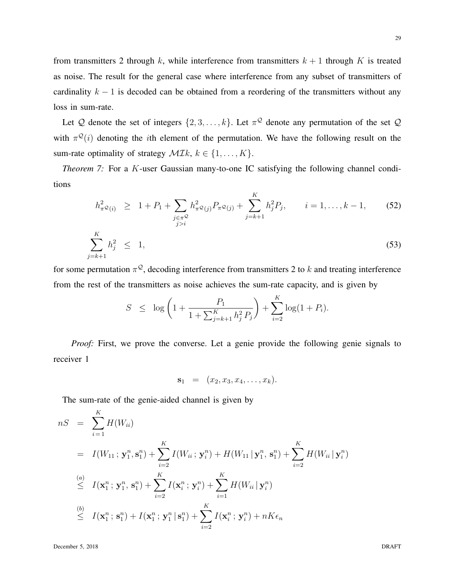from transmitters 2 through k, while interference from transmitters  $k + 1$  through K is treated as noise. The result for the general case where interference from any subset of transmitters of cardinality  $k - 1$  is decoded can be obtained from a reordering of the transmitters without any loss in sum-rate.

Let Q denote the set of integers  $\{2, 3, ..., k\}$ . Let  $\pi^{\mathcal{Q}}$  denote any permutation of the set Q with  $\pi^{\mathcal{Q}}(i)$  denoting the *i*th element of the permutation. We have the following result on the sum-rate optimality of strategy  $\mathcal{M}\mathcal{I}k, k \in \{1, \ldots, K\}.$ 

*Theorem 7:* For a K-user Gaussian many-to-one IC satisfying the following channel conditions

<span id="page-28-1"></span>
$$
h_{\pi^{\mathcal{Q}}(i)}^2 \ge 1 + P_1 + \sum_{\substack{j \in \pi^{\mathcal{Q}} \\ j > i}} h_{\pi^{\mathcal{Q}}(j)}^2 P_{\pi^{\mathcal{Q}}(j)} + \sum_{j=k+1}^K h_j^2 P_j, \qquad i = 1, ..., k - 1,
$$
 (52)  

$$
\sum_{j=k+1}^K h_j^2 \le 1,
$$
 (53)

for some permutation  $\pi^{\mathcal{Q}}$ , decoding interference from transmitters 2 to k and treating interference from the rest of the transmitters as noise achieves the sum-rate capacity, and is given by

<span id="page-28-0"></span>
$$
S \leq \log \left( 1 + \frac{P_1}{1 + \sum_{j=k+1}^K h_j^2 P_j} \right) + \sum_{i=2}^K \log(1 + P_i).
$$

*Proof:* First, we prove the converse. Let a genie provide the following genie signals to receiver 1

$$
\mathbf{s}_1 = (x_2, x_3, x_4, \ldots, x_k).
$$

The sum-rate of the genie-aided channel is given by

$$
nS = \sum_{i=1}^{K} H(W_{ii})
$$
  
\n
$$
= I(W_{11}; \mathbf{y}_1^n, \mathbf{s}_1^n) + \sum_{i=2}^{K} I(W_{ii}; \mathbf{y}_i^n) + H(W_{11} | \mathbf{y}_1^n, \mathbf{s}_1^n) + \sum_{i=2}^{K} H(W_{ii} | \mathbf{y}_i^n)
$$
  
\n
$$
\leq I(\mathbf{x}_1^n; \mathbf{y}_1^n, \mathbf{s}_1^n) + \sum_{i=2}^{K} I(\mathbf{x}_i^n; \mathbf{y}_i^n) + \sum_{i=1}^{K} H(W_{ii} | \mathbf{y}_i^n)
$$
  
\n
$$
\leq I(\mathbf{x}_1^n; \mathbf{s}_1^n) + I(\mathbf{x}_1^n; \mathbf{y}_1^n | \mathbf{s}_1^n) + \sum_{i=2}^{K} I(\mathbf{x}_i^n; \mathbf{y}_i^n) + nK\epsilon_n
$$

December 5, 2018 DRAFT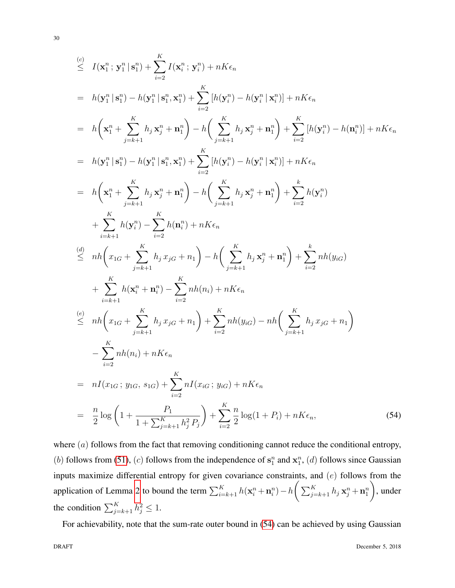$$
\begin{split}\n\sum_{i=1}^{n} I(\mathbf{x}_{1}^{n}; \mathbf{y}_{1}^{n} | \mathbf{s}_{1}^{n}) + \sum_{i=2}^{K} I(\mathbf{x}_{i}^{n}; \mathbf{y}_{i}^{n}) + nK\epsilon_{n} \\
&= h(\mathbf{y}_{1}^{n} | \mathbf{s}_{1}^{n}) - h(\mathbf{y}_{1}^{n} | \mathbf{s}_{1}^{n}, \mathbf{x}_{1}^{n}) + \sum_{i=2}^{K} [h(\mathbf{y}_{i}^{n}) - h(\mathbf{y}_{i}^{n} | \mathbf{x}_{i}^{n})] + nK\epsilon_{n} \\
&= h\left(\mathbf{x}_{1}^{n} + \sum_{j=k+1}^{K} h_{j} \mathbf{x}_{j}^{n} + \mathbf{n}_{1}^{n}\right) - h\left(\sum_{j=k+1}^{K} h_{j} \mathbf{x}_{j}^{n} + \mathbf{n}_{1}^{n}\right) + \sum_{i=2}^{K} [h(\mathbf{y}_{i}^{n}) - h(\mathbf{n}_{i}^{n})] + nK\epsilon_{n} \\
&= h(\mathbf{y}_{1}^{n} | \mathbf{s}_{1}^{n}) - h(\mathbf{y}_{1}^{n} | \mathbf{s}_{1}^{n}, \mathbf{x}_{1}^{n}) + \sum_{i=2}^{K} [h(\mathbf{y}_{i}^{n}) - h(\mathbf{y}_{i}^{n} | \mathbf{x}_{i}^{n})] + nK\epsilon_{n} \\
&= h\left(\mathbf{x}_{1}^{n} + \sum_{j=k+1}^{K} h_{j} \mathbf{x}_{j}^{n} + \mathbf{n}_{1}^{n}\right) - h\left(\sum_{j=k+1}^{K} h_{j} \mathbf{x}_{j}^{n} + \mathbf{n}_{1}^{n}\right) + \sum_{i=2}^{K} h(\mathbf{y}_{i}^{n}) \\
&+ \sum_{i=k+1}^{K} h(\mathbf{y}_{i}^{n}) - \sum_{i=2}^{K} h(\mathbf{n}_{i}^{n}) + nK\epsilon_{n} \\
&\leq nh\left(x_{1G} + \sum_{j=k+1}^{K} h_{j} x_{jG} + n_{1}\right) - h\left(\sum_{j=k+1}^{K} h_{j} \mathbf{x}_{j}^{n} + \mathbf{n}_{1}^{n}\right) + \sum_{i=2}^{K} nh(y_{iG}) \\
&+ \sum_{i=k+1}^{
$$

where  $(a)$  follows from the fact that removing conditioning cannot reduce the conditional entropy, (b) follows from [\(51\)](#page-27-1), (c) follows from the independence of  $s_1^n$  and  $x_1^n$ , (d) follows since Gaussian inputs maximize differential entropy for given covariance constraints, and (e) follows from the application of Lemma [2](#page-11-0) to bound the term  $\sum_{i=k+1}^{K} h(\mathbf{x}_i^n + \mathbf{n}_i^n) - h \left( \sum_{j=k+1}^{K} h_j \mathbf{x}_j^n + \mathbf{n}_1^n \right)$  $\setminus$ , under the condition  $\sum_{j=k+1}^{K} h_j^2 \leq 1$ .

For achievability, note that the sum-rate outer bound in [\(54\)](#page-28-0) can be achieved by using Gaussian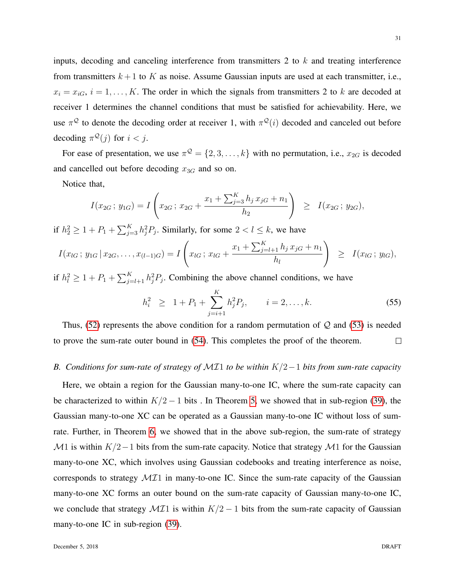inputs, decoding and canceling interference from transmitters 2 to  $k$  and treating interference from transmitters  $k+1$  to K as noise. Assume Gaussian inputs are used at each transmitter, i.e.,  $x_i = x_{iG}, i = 1, \ldots, K$ . The order in which the signals from transmitters 2 to k are decoded at receiver 1 determines the channel conditions that must be satisfied for achievability. Here, we use  $\pi^{\mathcal{Q}}$  to denote the decoding order at receiver 1, with  $\pi^{\mathcal{Q}}(i)$  decoded and canceled out before decoding  $\pi^{\mathcal{Q}}(j)$  for  $i < j$ .

For ease of presentation, we use  $\pi^{\mathcal{Q}} = \{2, 3, ..., k\}$  with no permutation, i.e.,  $x_{2G}$  is decoded and cancelled out before decoding  $x_{3G}$  and so on.

Notice that,

$$
I(x_{2G}; y_{1G}) = I\left(x_{2G}; x_{2G} + \frac{x_1 + \sum_{j=3}^{K} h_j x_{jG} + n_1}{h_2}\right) \geq I(x_{2G}; y_{2G}),
$$

if  $h_2^2 \ge 1 + P_1 + \sum_{j=3}^K h_j^2 P_j$ . Similarly, for some  $2 < l \le k$ , we have

$$
I(x_{lG}; y_{1G} | x_{2G},..., x_{(l-1)G}) = I\left(x_{lG}; x_{lG} + \frac{x_1 + \sum_{j=l+1}^{K} h_j x_{jG} + n_1}{h_l}\right) \geq I(x_{lG}; y_{lG}),
$$

if  $h_l^2 \geq 1 + P_1 + \sum_{j=l+1}^{K} h_j^2 P_j$ . Combining the above channel conditions, we have

$$
h_i^2 \geq 1 + P_1 + \sum_{j=i+1}^K h_j^2 P_j, \qquad i = 2, \dots, k. \tag{55}
$$

Thus,  $(52)$  represents the above condition for a random permutation of  $Q$  and  $(53)$  is needed to prove the sum-rate outer bound in [\(54\)](#page-28-0). This completes the proof of the theorem.  $\Box$ 

# *B. Conditions for sum-rate of strategy of* MI1 *to be within* K/2−1 *bits from sum-rate capacity*

Here, we obtain a region for the Gaussian many-to-one IC, where the sum-rate capacity can be characterized to within  $K/2 - 1$  bits . In Theorem [5,](#page-24-1) we showed that in sub-region [\(39\)](#page-24-1), the Gaussian many-to-one XC can be operated as a Gaussian many-to-one IC without loss of sumrate. Further, in Theorem [6,](#page-24-3) we showed that in the above sub-region, the sum-rate of strategy M1 is within  $K/2-1$  bits from the sum-rate capacity. Notice that strategy M1 for the Gaussian many-to-one XC, which involves using Gaussian codebooks and treating interference as noise, corresponds to strategy  $\mathcal{M}I1$  in many-to-one IC. Since the sum-rate capacity of the Gaussian many-to-one XC forms an outer bound on the sum-rate capacity of Gaussian many-to-one IC, we conclude that strategy  $\mathcal{M}I1$  is within  $K/2 - 1$  bits from the sum-rate capacity of Gaussian many-to-one IC in sub-region [\(39\)](#page-24-1).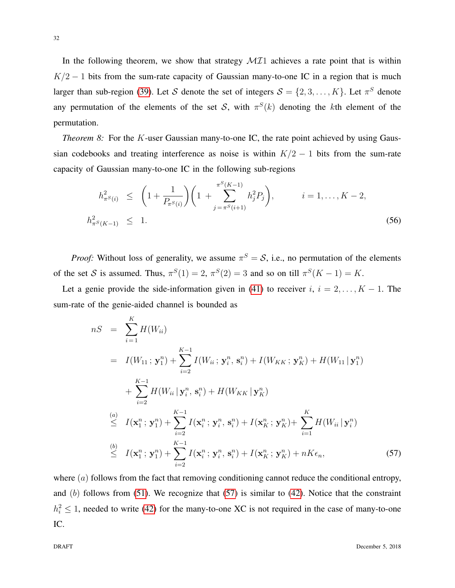In the following theorem, we show that strategy  $MII$  achieves a rate point that is within  $K/2 - 1$  bits from the sum-rate capacity of Gaussian many-to-one IC in a region that is much larger than sub-region [\(39\)](#page-24-1). Let S denote the set of integers  $S = \{2, 3, ..., K\}$ . Let  $\pi^S$  denote any permutation of the elements of the set S, with  $\pi^{S}(k)$  denoting the kth element of the permutation.

*Theorem 8:* For the K-user Gaussian many-to-one IC, the rate point achieved by using Gaussian codebooks and treating interference as noise is within  $K/2 - 1$  bits from the sum-rate capacity of Gaussian many-to-one IC in the following sub-regions

<span id="page-31-1"></span>
$$
h_{\pi^S(i)}^2 \le \left(1 + \frac{1}{P_{\pi^S(i)}}\right) \left(1 + \sum_{j=\pi^S(i+1)}^{\pi^S(K-1)} h_j^2 P_j\right), \qquad i = 1, \dots, K-2,
$$
  

$$
h_{\pi^S(K-1)}^2 \le 1.
$$
 (56)

*Proof:* Without loss of generality, we assume  $\pi^S = S$ , i.e., no permutation of the elements of the set S is assumed. Thus,  $\pi^{S}(1) = 2$ ,  $\pi^{S}(2) = 3$  and so on till  $\pi^{S}(K - 1) = K$ .

Let a genie provide the side-information given in [\(41\)](#page-24-2) to receiver  $i, i = 2, ..., K - 1$ . The sum-rate of the genie-aided channel is bounded as

<span id="page-31-0"></span>
$$
nS = \sum_{i=1}^{K} H(W_{ii})
$$
  
\n
$$
= I(W_{11}; \mathbf{y}_1^n) + \sum_{i=2}^{K-1} I(W_{ii}; \mathbf{y}_i^n, \mathbf{s}_i^n) + I(W_{KK}; \mathbf{y}_K^n) + H(W_{11} | \mathbf{y}_1^n)
$$
  
\n
$$
+ \sum_{i=2}^{K-1} H(W_{ii} | \mathbf{y}_i^n, \mathbf{s}_i^n) + H(W_{KK} | \mathbf{y}_K^n)
$$
  
\n(a) 
$$
I(\mathbf{x}_1^n; \mathbf{y}_1^n) + \sum_{i=2}^{K-1} I(\mathbf{x}_i^n; \mathbf{y}_i^n, \mathbf{s}_i^n) + I(\mathbf{x}_K^n; \mathbf{y}_K^n) + \sum_{i=1}^{K} H(W_{ii} | \mathbf{y}_i^n)
$$
  
\n(b) 
$$
I(\mathbf{x}_1^n; \mathbf{y}_1^n) + \sum_{i=2}^{K-1} I(\mathbf{x}_i^n; \mathbf{y}_i^n, \mathbf{s}_i^n) + I(\mathbf{x}_K^n; \mathbf{y}_K^n) + nK\epsilon_n,
$$
 (57)

where  $(a)$  follows from the fact that removing conditioning cannot reduce the conditional entropy, and  $(b)$  follows from [\(51\)](#page-27-1). We recognize that [\(57\)](#page-31-0) is similar to [\(42\)](#page-25-1). Notice that the constraint  $h_i^2 \leq 1$ , needed to write [\(42\)](#page-25-1) for the many-to-one XC is not required in the case of many-to-one IC.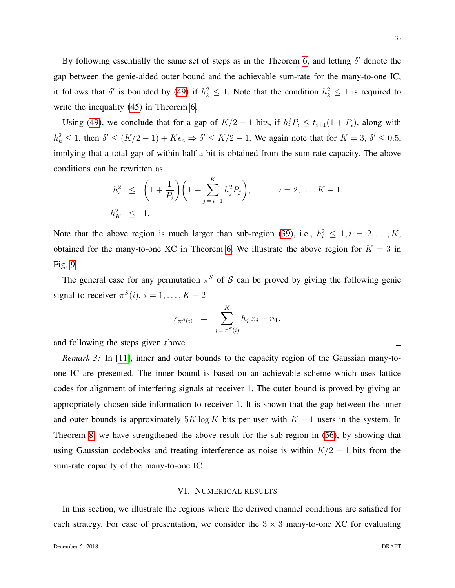By following essentially the same set of steps as in the Theorem [6,](#page-24-3) and letting  $\delta'$  denote the gap between the genie-aided outer bound and the achievable sum-rate for the many-to-one IC, it follows that  $\delta'$  is bounded by [\(49\)](#page-26-2) if  $h_k^2 \leq 1$ . Note that the condition  $h_k^2 \leq 1$  is required to write the inequality  $(45)$  in Theorem [6.](#page-24-3)

Using [\(49\)](#page-26-2), we conclude that for a gap of  $K/2 - 1$  bits, if  $h_i^2 P_i \le t_{i+1}(1 + P_i)$ , along with  $h_k^2 \leq 1$ , then  $\delta' \leq (K/2 - 1) + K\epsilon_n \Rightarrow \delta' \leq K/2 - 1$ . We again note that for  $K = 3$ ,  $\delta' \leq 0.5$ , implying that a total gap of within half a bit is obtained from the sum-rate capacity. The above conditions can be rewritten as

$$
h_i^2 \le \left(1 + \frac{1}{P_i}\right)\left(1 + \sum_{j=i+1}^K h_j^2 P_j\right), \qquad i = 2, \dots, K - 1,
$$
  

$$
h_K^2 \le 1.
$$

Note that the above region is much larger than sub-region [\(39\)](#page-24-1), i.e.,  $h_i^2 \leq 1, i = 2, ..., K$ , obtained for the many-to-one XC in Theorem [6.](#page-24-3) We illustrate the above region for  $K = 3$  in Fig. [9.](#page-37-5)

The general case for any permutation  $\pi^S$  of S can be proved by giving the following genie signal to receiver  $\pi^S(i)$ ,  $i = 1, ..., K - 2$ 

$$
s_{\pi^S(i)} = \sum_{j=\pi^S(i)}^K h_j x_j + n_1.
$$

and following the steps given above.

*Remark 3:* In [\[11\]](#page-38-5), inner and outer bounds to the capacity region of the Gaussian many-toone IC are presented. The inner bound is based on an achievable scheme which uses lattice codes for alignment of interfering signals at receiver 1. The outer bound is proved by giving an appropriately chosen side information to receiver 1. It is shown that the gap between the inner and outer bounds is approximately  $5K \log K$  bits per user with  $K + 1$  users in the system. In Theorem [8,](#page-31-1) we have strengthened the above result for the sub-region in [\(56\)](#page-31-1), by showing that using Gaussian codebooks and treating interference as noise is within  $K/2 - 1$  bits from the sum-rate capacity of the many-to-one IC.

## VI. NUMERICAL RESULTS

<span id="page-32-0"></span>In this section, we illustrate the regions where the derived channel conditions are satisfied for each strategy. For ease of presentation, we consider the  $3 \times 3$  many-to-one XC for evaluating

 $\Box$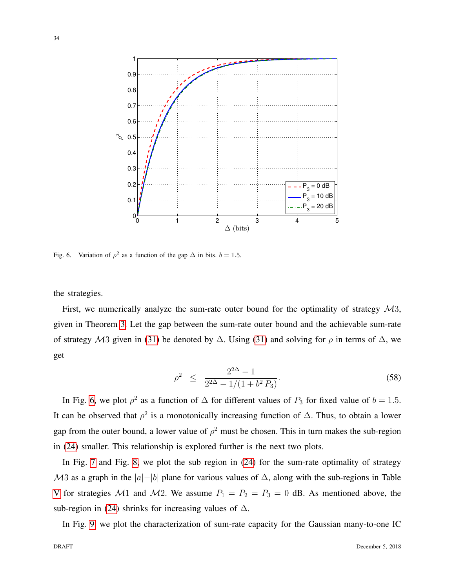

<span id="page-33-0"></span>Fig. 6. Variation of  $\rho^2$  as a function of the gap  $\Delta$  in bits.  $b = 1.5$ .

the strategies.

First, we numerically analyze the sum-rate outer bound for the optimality of strategy  $\mathcal{M}3$ , given in Theorem [3.](#page-17-3) Let the gap between the sum-rate outer bound and the achievable sum-rate of strategy M3 given in [\(31\)](#page-19-0) be denoted by  $\Delta$ . Using (31) and solving for  $\rho$  in terms of  $\Delta$ , we get

$$
\rho^2 \le \frac{2^{2\Delta} - 1}{2^{2\Delta} - 1/(1 + b^2 P_3)}.
$$
\n(58)

In Fig. [6,](#page-33-0) we plot  $\rho^2$  as a function of  $\Delta$  for different values of  $P_3$  for fixed value of  $b = 1.5$ . It can be observed that  $\rho^2$  is a monotonically increasing function of  $\Delta$ . Thus, to obtain a lower gap from the outer bound, a lower value of  $\rho^2$  must be chosen. This in turn makes the sub-region in [\(24\)](#page-17-2) smaller. This relationship is explored further is the next two plots.

In Fig. [7](#page-34-0) and Fig. [8,](#page-35-1) we plot the sub region in [\(24\)](#page-17-2) for the sum-rate optimality of strategy  $\mathcal{M}3$  as a graph in the  $|a|-|b|$  plane for various values of  $\Delta$ , along with the sub-regions in Table [V](#page-20-0) for strategies M1 and M2. We assume  $P_1 = P_2 = P_3 = 0$  dB. As mentioned above, the sub-region in [\(24\)](#page-17-2) shrinks for increasing values of  $\Delta$ .

In Fig. [9,](#page-37-5) we plot the characterization of sum-rate capacity for the Gaussian many-to-one IC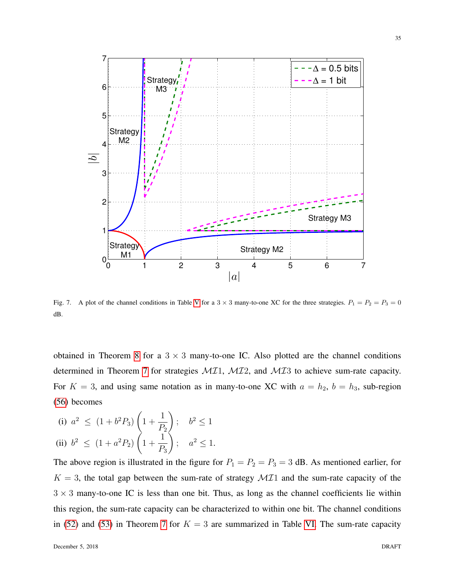

<span id="page-34-0"></span>Fig. 7. A plot of the channel conditions in Table [V](#page-20-0) for a  $3 \times 3$  many-to-one XC for the three strategies.  $P_1 = P_2 = P_3 = 0$ dB.

obtained in Theorem [8](#page-31-1) for a  $3 \times 3$  many-to-one IC. Also plotted are the channel conditions determined in Theorem [7](#page-28-0) for strategies  $MII$ ,  $MII$ , and  $MI3$  to achieve sum-rate capacity. For  $K = 3$ , and using same notation as in many-to-one XC with  $a = h_2$ ,  $b = h_3$ , sub-region [\(56\)](#page-31-1) becomes

(i) 
$$
a^2 \le (1 + b^2 P_3) \left( 1 + \frac{1}{P_2} \right); \quad b^2 \le 1
$$
  
\n(ii)  $b^2 \le (1 + a^2 P_2) \left( 1 + \frac{1}{P_3} \right); \quad a^2 \le 1.$ 

The above region is illustrated in the figure for  $P_1 = P_2 = P_3 = 3$  dB. As mentioned earlier, for  $K = 3$ , the total gap between the sum-rate of strategy  $M\mathcal{I}$  and the sum-rate capacity of the  $3 \times 3$  many-to-one IC is less than one bit. Thus, as long as the channel coefficients lie within this region, the sum-rate capacity can be characterized to within one bit. The channel conditions in [\(52\)](#page-28-1) and [\(53\)](#page-28-1) in Theorem [7](#page-28-0) for  $K = 3$  are summarized in Table [VI.](#page-36-0) The sum-rate capacity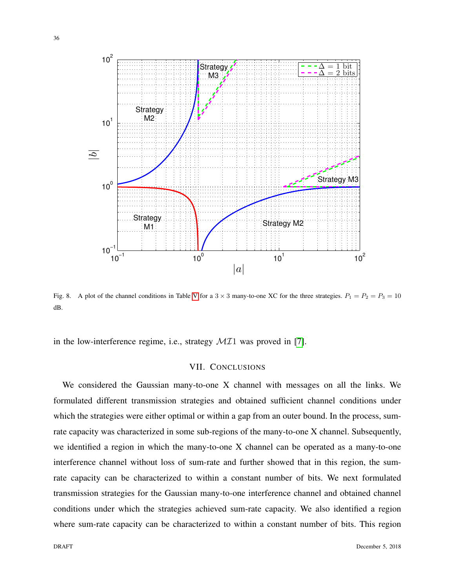

<span id="page-35-1"></span>Fig. 8. A plot of the channel conditions in Table [V](#page-20-0) for a  $3 \times 3$  many-to-one XC for the three strategies.  $P_1 = P_2 = P_3 = 10$ dB.

<span id="page-35-0"></span>in the low-interference regime, i.e., strategy  $\mathcal{M}I1$  was proved in [\[7\]](#page-38-0).

# VII. CONCLUSIONS

We considered the Gaussian many-to-one X channel with messages on all the links. We formulated different transmission strategies and obtained sufficient channel conditions under which the strategies were either optimal or within a gap from an outer bound. In the process, sumrate capacity was characterized in some sub-regions of the many-to-one X channel. Subsequently, we identified a region in which the many-to-one X channel can be operated as a many-to-one interference channel without loss of sum-rate and further showed that in this region, the sumrate capacity can be characterized to within a constant number of bits. We next formulated transmission strategies for the Gaussian many-to-one interference channel and obtained channel conditions under which the strategies achieved sum-rate capacity. We also identified a region where sum-rate capacity can be characterized to within a constant number of bits. This region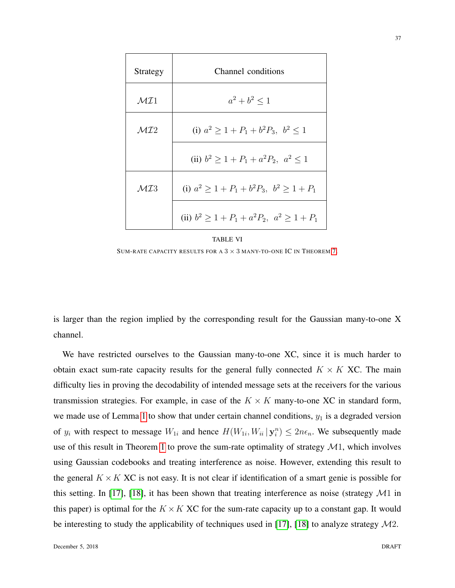| Strategy        | Channel conditions                               |
|-----------------|--------------------------------------------------|
| $\mathcal{MI}1$ | $a^2 + b^2 \leq 1$                               |
| $\mathcal{MI}2$ | (i) $a^2 > 1 + P_1 + b^2 P_3$ , $b^2 < 1$        |
|                 | (ii) $b^2 > 1 + P_1 + a^2 P_2$ , $a^2 < 1$       |
| $\mathcal{MIS}$ | (i) $a^2 > 1 + P_1 + b^2 P_3$ , $b^2 > 1 + P_1$  |
|                 | (ii) $b^2 > 1 + P_1 + a^2 P_2$ , $a^2 > 1 + P_1$ |

#### TABLE VI

<span id="page-36-0"></span>SUM-RATE CAPACITY RESULTS FOR A  $3 \times 3$  MANY-TO-ONE IC IN THEOREM [7.](#page-28-0)

is larger than the region implied by the corresponding result for the Gaussian many-to-one X channel.

We have restricted ourselves to the Gaussian many-to-one XC, since it is much harder to obtain exact sum-rate capacity results for the general fully connected  $K \times K$  XC. The main difficulty lies in proving the decodability of intended message sets at the receivers for the various transmission strategies. For example, in case of the  $K \times K$  many-to-one XC in standard form, we made use of Lemma [1](#page-8-0) to show that under certain channel conditions,  $y_1$  is a degraded version of  $y_i$  with respect to message  $W_{1i}$  and hence  $H(W_{1i}, W_{ii} | \mathbf{y}_i^n) \le 2n\epsilon_n$ . We subsequently made use of this result in Theorem [1](#page-12-2) to prove the sum-rate optimality of strategy  $\mathcal{M}$ 1, which involves using Gaussian codebooks and treating interference as noise. However, extending this result to the general  $K \times K$  XC is not easy. It is not clear if identification of a smart genie is possible for this setting. In [\[17\]](#page-38-11), [\[18\]](#page-38-12), it has been shown that treating interference as noise (strategy  $\mathcal{M}1$  in this paper) is optimal for the  $K \times K$  XC for the sum-rate capacity up to a constant gap. It would be interesting to study the applicability of techniques used in [\[17\]](#page-38-11), [\[18\]](#page-38-12) to analyze strategy  $\mathcal{M}2$ .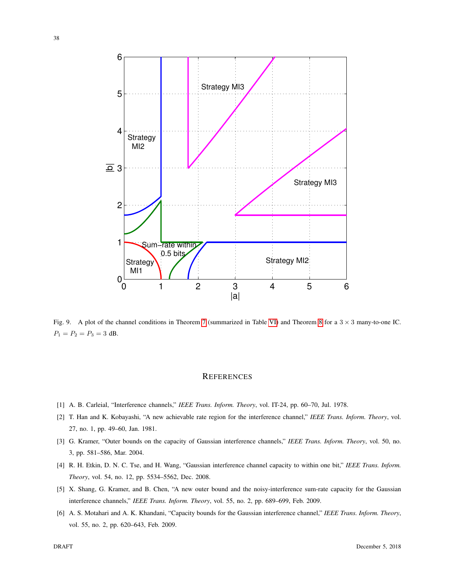

<span id="page-37-5"></span>Fig. 9. A plot of the channel conditions in Theorem [7](#page-28-0) (summarized in Table [VI\)](#page-36-0) and Theorem [8](#page-31-1) for a  $3 \times 3$  many-to-one IC.  $P_1 = P_2 = P_3 = 3$  dB.

#### **REFERENCES**

- <span id="page-37-0"></span>[1] A. B. Carleial, "Interference channels," *IEEE Trans. Inform. Theory*, vol. IT-24, pp. 60–70, Jul. 1978.
- <span id="page-37-1"></span>[2] T. Han and K. Kobayashi, "A new achievable rate region for the interference channel," *IEEE Trans. Inform. Theory*, vol. 27, no. 1, pp. 49–60, Jan. 1981.
- [3] G. Kramer, "Outer bounds on the capacity of Gaussian interference channels," *IEEE Trans. Inform. Theory*, vol. 50, no. 3, pp. 581–586, Mar. 2004.
- <span id="page-37-2"></span>[4] R. H. Etkin, D. N. C. Tse, and H. Wang, "Gaussian interference channel capacity to within one bit," *IEEE Trans. Inform. Theory*, vol. 54, no. 12, pp. 5534–5562, Dec. 2008.
- <span id="page-37-3"></span>[5] X. Shang, G. Kramer, and B. Chen, "A new outer bound and the noisy-interference sum-rate capacity for the Gaussian interference channels," *IEEE Trans. Inform. Theory*, vol. 55, no. 2, pp. 689–699, Feb. 2009.
- <span id="page-37-4"></span>[6] A. S. Motahari and A. K. Khandani, "Capacity bounds for the Gaussian interference channel," *IEEE Trans. Inform. Theory*, vol. 55, no. 2, pp. 620–643, Feb. 2009.